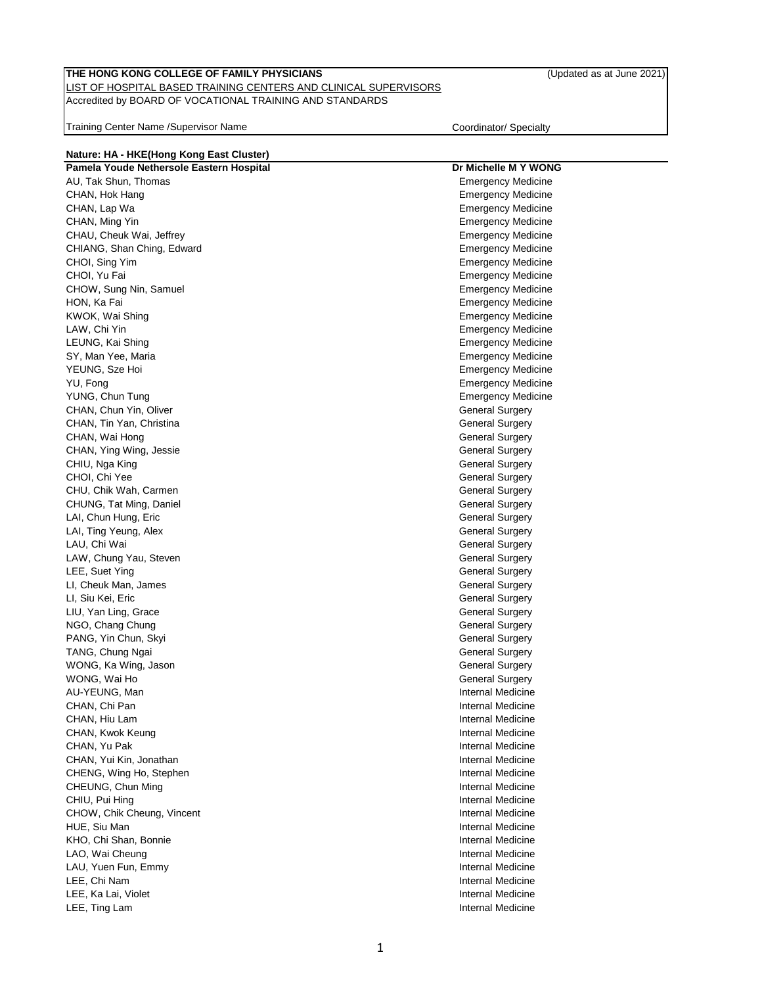### LIST OF HOSPITAL BASED TRAINING CENTERS AND CLINICAL SUPERVISORS Accredited by BOARD OF VOCATIONAL TRAINING AND STANDARDS

Training Center Name /Supervisor Name Coordinator/ Specialty

| Nature: HA - HKE(Hong Kong East Cluster) |                           |  |
|------------------------------------------|---------------------------|--|
| Pamela Youde Nethersole Eastern Hospital | Dr Michelle M Y WONG      |  |
| AU, Tak Shun, Thomas                     | <b>Emergency Medicine</b> |  |
| CHAN, Hok Hang                           | <b>Emergency Medicine</b> |  |
| CHAN, Lap Wa                             | <b>Emergency Medicine</b> |  |
| CHAN, Ming Yin                           | <b>Emergency Medicine</b> |  |
| CHAU, Cheuk Wai, Jeffrey                 | <b>Emergency Medicine</b> |  |
| CHIANG, Shan Ching, Edward               | <b>Emergency Medicine</b> |  |
| CHOI, Sing Yim                           | <b>Emergency Medicine</b> |  |
| CHOI, Yu Fai                             | <b>Emergency Medicine</b> |  |
| CHOW, Sung Nin, Samuel                   | <b>Emergency Medicine</b> |  |
| HON, Ka Fai                              | <b>Emergency Medicine</b> |  |
| KWOK, Wai Shing                          | <b>Emergency Medicine</b> |  |
| LAW, Chi Yin                             | <b>Emergency Medicine</b> |  |
| LEUNG, Kai Shing                         | <b>Emergency Medicine</b> |  |
| SY, Man Yee, Maria                       | <b>Emergency Medicine</b> |  |
| YEUNG, Sze Hoi                           | <b>Emergency Medicine</b> |  |
| YU, Fong                                 | <b>Emergency Medicine</b> |  |
| YUNG, Chun Tung                          | <b>Emergency Medicine</b> |  |
| CHAN, Chun Yin, Oliver                   | <b>General Surgery</b>    |  |
| CHAN, Tin Yan, Christina                 | <b>General Surgery</b>    |  |
| CHAN, Wai Hong                           | <b>General Surgery</b>    |  |
| CHAN, Ying Wing, Jessie                  | <b>General Surgery</b>    |  |
| CHIU, Nga King                           | <b>General Surgery</b>    |  |
| CHOI, Chi Yee                            | <b>General Surgery</b>    |  |
| CHU, Chik Wah, Carmen                    | <b>General Surgery</b>    |  |
| CHUNG, Tat Ming, Daniel                  | <b>General Surgery</b>    |  |
| LAI, Chun Hung, Eric                     | <b>General Surgery</b>    |  |
| LAI, Ting Yeung, Alex                    | <b>General Surgery</b>    |  |
| LAU, Chi Wai                             | <b>General Surgery</b>    |  |
| LAW, Chung Yau, Steven                   | General Surgery           |  |
| LEE, Suet Ying                           | <b>General Surgery</b>    |  |
| LI, Cheuk Man, James                     | <b>General Surgery</b>    |  |
| LI, Siu Kei, Eric                        | <b>General Surgery</b>    |  |
| LIU, Yan Ling, Grace                     | <b>General Surgery</b>    |  |
| NGO, Chang Chung                         | <b>General Surgery</b>    |  |
| PANG, Yin Chun, Skyi                     | <b>General Surgery</b>    |  |
| TANG, Chung Ngai                         | <b>General Surgery</b>    |  |
| WONG, Ka Wing, Jason                     | <b>General Surgery</b>    |  |
| WONG, Wai Ho                             | <b>General Surgery</b>    |  |
| AU-YEUNG, Man                            | Internal Medicine         |  |
| CHAN, Chi Pan                            | <b>Internal Medicine</b>  |  |
| CHAN, Hiu Lam                            | <b>Internal Medicine</b>  |  |
| CHAN, Kwok Keung                         | Internal Medicine         |  |
| CHAN, Yu Pak                             | Internal Medicine         |  |
| CHAN, Yui Kin, Jonathan                  | Internal Medicine         |  |
| CHENG, Wing Ho, Stephen                  | Internal Medicine         |  |
| CHEUNG, Chun Ming                        | Internal Medicine         |  |
| CHIU, Pui Hing                           | Internal Medicine         |  |
| CHOW, Chik Cheung, Vincent               | Internal Medicine         |  |
| HUE, Siu Man                             | <b>Internal Medicine</b>  |  |
| KHO, Chi Shan, Bonnie                    | Internal Medicine         |  |
| LAO, Wai Cheung                          | Internal Medicine         |  |
| LAU, Yuen Fun, Emmy                      | Internal Medicine         |  |
| LEE, Chi Nam                             | Internal Medicine         |  |
| LEE, Ka Lai, Violet                      | Internal Medicine         |  |
| LEE, Ting Lam                            | Internal Medicine         |  |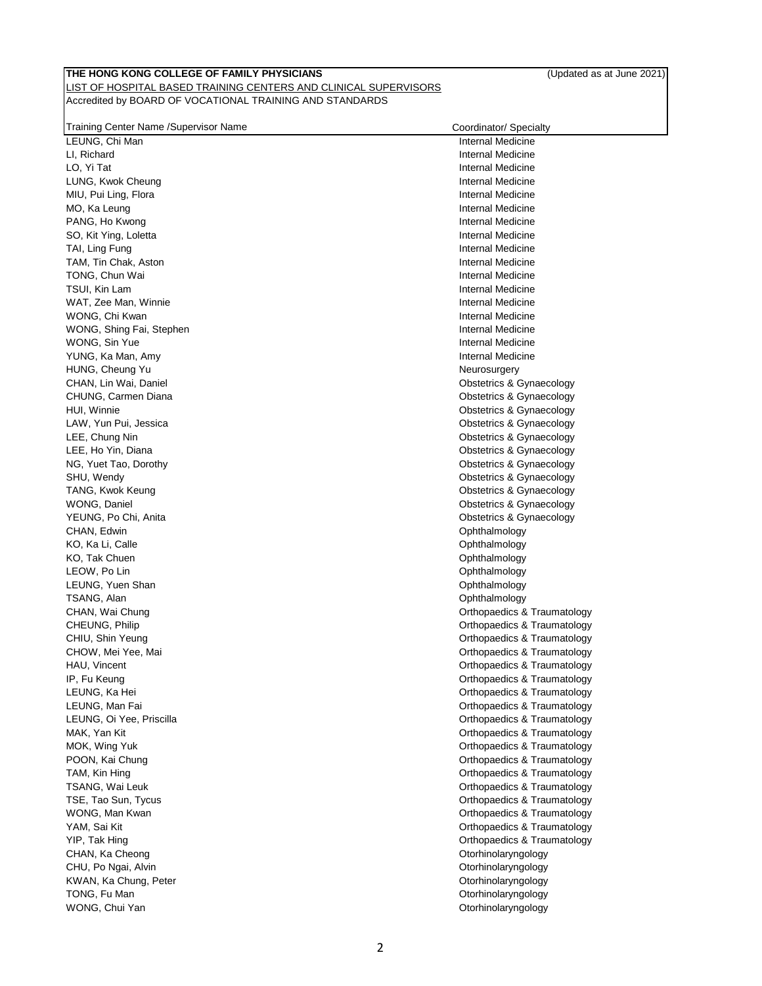| LEUNG, Chi Man           | Internal Medicine           |
|--------------------------|-----------------------------|
| LI, Richard              | Internal Medicine           |
| LO, Yi Tat               | Internal Medicine           |
| LUNG, Kwok Cheung        | Internal Medicine           |
| MIU, Pui Ling, Flora     | Internal Medicine           |
| MO, Ka Leung             | Internal Medicine           |
| PANG, Ho Kwong           | Internal Medicine           |
| SO, Kit Ying, Loletta    | Internal Medicine           |
| TAI, Ling Fung           | Internal Medicine           |
| TAM, Tin Chak, Aston     | Internal Medicine           |
| TONG, Chun Wai           | Internal Medicine           |
| TSUI, Kin Lam            | Internal Medicine           |
| WAT, Zee Man, Winnie     | Internal Medicine           |
| WONG, Chi Kwan           | Internal Medicine           |
| WONG, Shing Fai, Stephen | Internal Medicine           |
| WONG, Sin Yue            | Internal Medicine           |
| YUNG, Ka Man, Amy        | Internal Medicine           |
| HUNG, Cheung Yu          | Neurosurgery                |
| CHAN, Lin Wai, Daniel    | Obstetrics & Gynaecology    |
| CHUNG, Carmen Diana      | Obstetrics & Gynaecology    |
| HUI, Winnie              | Obstetrics & Gynaecology    |
| LAW, Yun Pui, Jessica    | Obstetrics & Gynaecology    |
| LEE, Chung Nin           | Obstetrics & Gynaecology    |
| LEE, Ho Yin, Diana       | Obstetrics & Gynaecology    |
| NG, Yuet Tao, Dorothy    | Obstetrics & Gynaecology    |
| SHU, Wendy               | Obstetrics & Gynaecology    |
| TANG, Kwok Keung         | Obstetrics & Gynaecology    |
| WONG, Daniel             | Obstetrics & Gynaecology    |
| YEUNG, Po Chi, Anita     | Obstetrics & Gynaecology    |
| CHAN, Edwin              | Ophthalmology               |
| KO, Ka Li, Calle         | Ophthalmology               |
| KO, Tak Chuen            | Ophthalmology               |
| LEOW, Po Lin             | Ophthalmology               |
| LEUNG, Yuen Shan         | Ophthalmology               |
| TSANG, Alan              | Ophthalmology               |
| CHAN, Wai Chung          | Orthopaedics & Traumatology |
| CHEUNG, Philip           | Orthopaedics & Traumatology |
| CHIU, Shin Yeung         | Orthopaedics & Traumatology |
| CHOW, Mei Yee, Mai       | Orthopaedics & Traumatology |
| HAU, Vincent             | Orthopaedics & Traumatology |
| IP, Fu Keung             | Orthopaedics & Traumatology |
| LEUNG, Ka Hei            | Orthopaedics & Traumatology |
| LEUNG, Man Fai           | Orthopaedics & Traumatology |
| LEUNG, Oi Yee, Priscilla | Orthopaedics & Traumatology |
| MAK, Yan Kit             | Orthopaedics & Traumatology |
| MOK, Wing Yuk            | Orthopaedics & Traumatology |
| POON, Kai Chung          | Orthopaedics & Traumatology |
| TAM, Kin Hing            | Orthopaedics & Traumatology |
| TSANG, Wai Leuk          | Orthopaedics & Traumatology |
| TSE, Tao Sun, Tycus      | Orthopaedics & Traumatology |
| WONG, Man Kwan           | Orthopaedics & Traumatology |
| YAM, Sai Kit             | Orthopaedics & Traumatology |
| YIP, Tak Hing            | Orthopaedics & Traumatology |
| CHAN, Ka Cheong          | Otorhinolaryngology         |
| CHU, Po Ngai, Alvin      | Otorhinolaryngology         |
| KWAN, Ka Chung, Peter    | Otorhinolaryngology         |
| TONG, Fu Man             | Otorhinolaryngology         |
| WONG, Chui Yan           | Otorhinolaryngology         |
|                          |                             |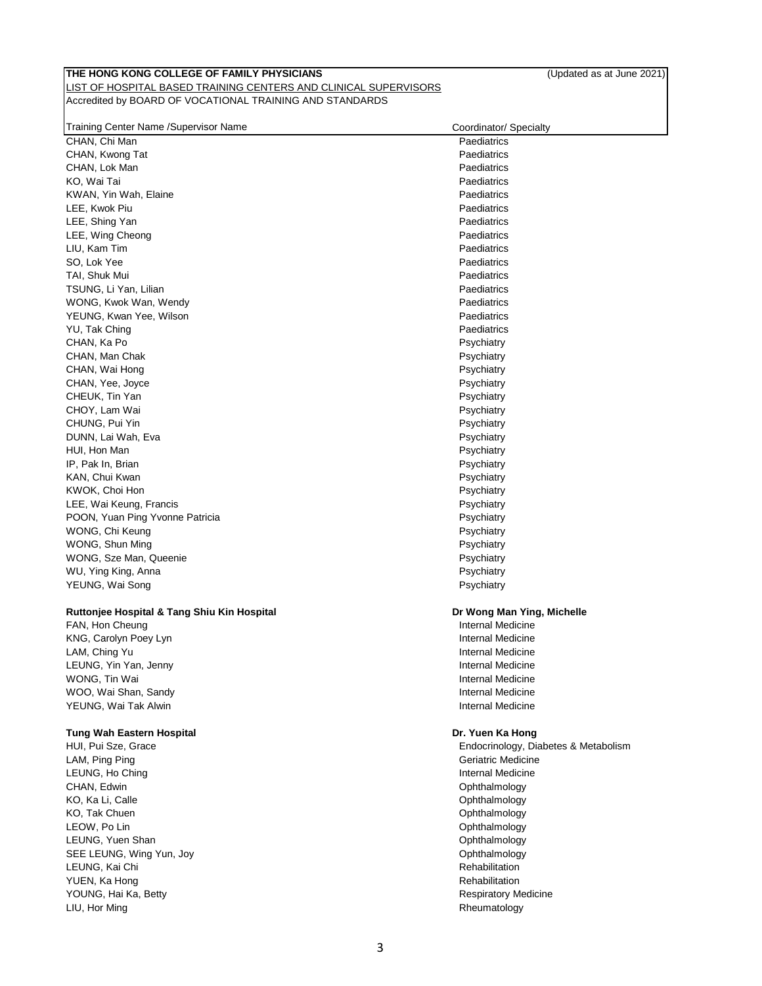| Training Center Name /Supervisor Name       | Coordinator/ Specialty               |
|---------------------------------------------|--------------------------------------|
| CHAN, Chi Man                               | Paediatrics                          |
| CHAN, Kwong Tat                             | Paediatrics                          |
| CHAN, Lok Man                               | Paediatrics                          |
| KO, Wai Tai                                 | Paediatrics                          |
| KWAN, Yin Wah, Elaine                       | Paediatrics                          |
| LEE, Kwok Piu                               | Paediatrics                          |
| LEE, Shing Yan                              | Paediatrics                          |
| LEE, Wing Cheong                            | Paediatrics                          |
| LIU, Kam Tim                                | Paediatrics                          |
| SO, Lok Yee                                 | Paediatrics                          |
| TAI, Shuk Mui                               | Paediatrics                          |
| TSUNG, Li Yan, Lilian                       | Paediatrics                          |
| WONG, Kwok Wan, Wendy                       | Paediatrics                          |
| YEUNG, Kwan Yee, Wilson                     | Paediatrics                          |
| YU, Tak Ching                               | Paediatrics                          |
| CHAN, Ka Po                                 | Psychiatry                           |
| CHAN, Man Chak                              | Psychiatry                           |
| CHAN, Wai Hong                              | Psychiatry                           |
| CHAN, Yee, Joyce                            | Psychiatry                           |
| CHEUK, Tin Yan                              | Psychiatry                           |
| CHOY, Lam Wai                               |                                      |
|                                             | Psychiatry                           |
| CHUNG, Pui Yin                              | Psychiatry                           |
| DUNN, Lai Wah, Eva                          | Psychiatry                           |
| HUI, Hon Man                                | Psychiatry                           |
| IP, Pak In, Brian                           | Psychiatry                           |
| KAN, Chui Kwan                              | Psychiatry                           |
| KWOK, Choi Hon                              | Psychiatry                           |
| LEE, Wai Keung, Francis                     | Psychiatry                           |
| POON, Yuan Ping Yvonne Patricia             | Psychiatry                           |
| WONG, Chi Keung                             | Psychiatry                           |
| WONG, Shun Ming                             | Psychiatry                           |
| WONG, Sze Man, Queenie                      | Psychiatry                           |
| WU, Ying King, Anna                         | Psychiatry                           |
| YEUNG, Wai Song                             | Psychiatry                           |
| Ruttonjee Hospital & Tang Shiu Kin Hospital | Dr Wong Man Ying, Michelle           |
| FAN, Hon Cheung                             | Internal Medicine                    |
| KNG, Carolyn Poey Lyn                       | Internal Medicine                    |
| LAM, Ching Yu                               | Internal Medicine                    |
| LEUNG, Yin Yan, Jenny                       | <b>Internal Medicine</b>             |
| WONG, Tin Wai                               | Internal Medicine                    |
| WOO, Wai Shan, Sandy                        | Internal Medicine                    |
| YEUNG, Wai Tak Alwin                        | Internal Medicine                    |
|                                             |                                      |
| Tung Wah Eastern Hospital                   | Dr. Yuen Ka Hong                     |
| HUI, Pui Sze, Grace                         | Endocrinology, Diabetes & Metabolism |
| LAM, Ping Ping                              | Geriatric Medicine                   |
| LEUNG, Ho Ching                             | Internal Medicine                    |
| CHAN, Edwin                                 | Ophthalmology                        |
| KO, Ka Li, Calle                            | Ophthalmology                        |
| KO, Tak Chuen                               | Ophthalmology                        |
| LEOW, Po Lin                                | Ophthalmology                        |
| LEUNG, Yuen Shan                            | Ophthalmology                        |
| SEE LEUNG, Wing Yun, Joy                    | Ophthalmology                        |
| LEUNG, Kai Chi                              | Rehabilitation                       |
| YUEN, Ka Hong                               | Rehabilitation                       |
| YOUNG, Hai Ka, Betty                        | <b>Respiratory Medicine</b>          |
| LIU, Hor Ming                               | Rheumatology                         |
|                                             |                                      |
|                                             |                                      |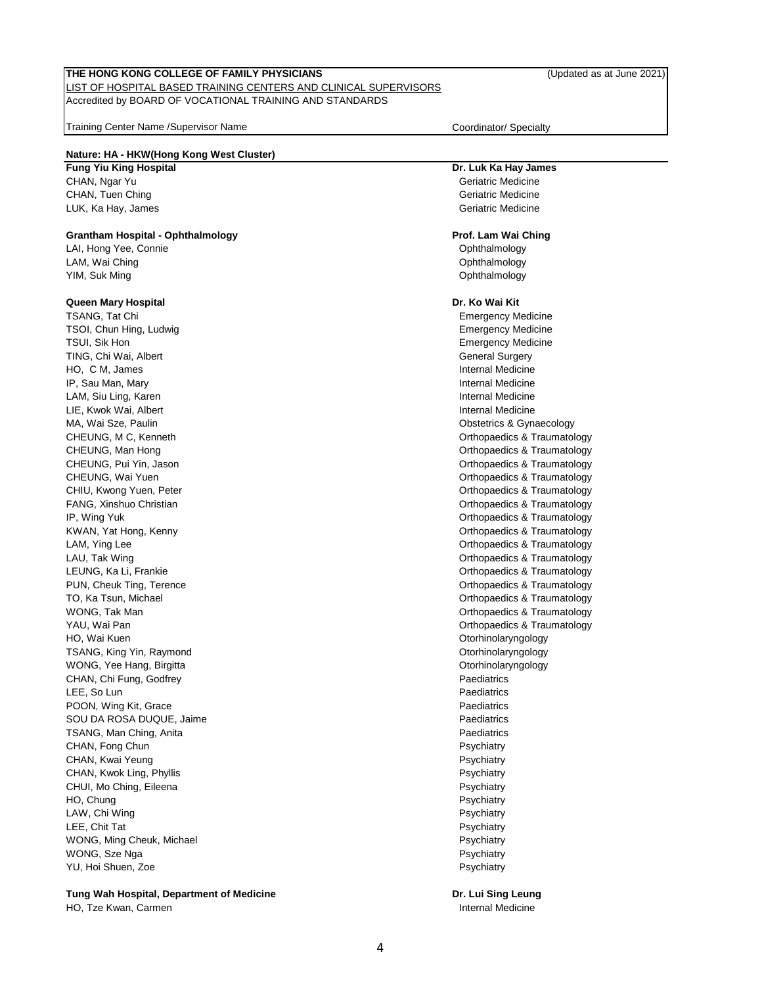## LIST OF HOSPITAL BASED TRAINING CENTERS AND CLINICAL SUPERVISORS Accredited by BOARD OF VOCATIONAL TRAINING AND STANDARDS

Training Center Name /Supervisor Name Community Coordinator/ Specialty

# **Nature: HA - HKW(Hong Kong West Cluster)**

# CHAN, Ngar Yu Geriatric Medicine CHAN, Tuen Ching Geriatric Medicine CHAN, Tuen Ching Geriatric Medicine LUK, Ka Hay, James Geriatric Medicine

# **Grantham Hospital - Ophthalmology Prof. Lam Wai Ching**

LAI, Hong Yee, Connie **Ophthalmology Connie** Ophthalmology **Connie** Ophthalmology LAM, Wai Ching Ching Ching Ching China Ching China China China China China China China China China China China China China China China China China China China China China China China China China China China China China Chi YIM, Suk Ming **Ophthalmology Community Community Community Community Community Community Community Community Community Community Community Community Community Community Community Community**

# **Queen Mary Hospital Dr. Ko Wai Kit**

TSANG, Tat Chi Emergency Medicine TSOI, Chun Hing, Ludwig **Emergency Medicine** Emergency Medicine TSUI, Sik Hon Emergency Medicine TING, Chi Wai, Albert General Surgery Chi Machinese Chi Machinese Chi Machinese Chi Machinese Chi Machinese Chi Machinese Chi Machinese Chi Machinese Chi Machinese Chi Machinese Chi Machinese Chi Machinese Chi Machinese Ch HO, C M, James **Internal Medicine IP, Sau Man, Mary Internal Medicine** Computer of the Computer of the Computer of the Computer of the Computer of the Computer of the Computer of the Computer of the Computer of the Computer of the Computer of the Computer LAM, Siu Ling, Karen Internal Medicine LIE, Kwok Wai, Albert **Internal Medicine** Company of the Internal Medicine MA, Wai Sze, Paulin **Mathematics Additional Contract Contract Contract Contract Contract Contract Contract Contract Contract Contract Contract Contract Contract Contract Contract Contract Contract Contract Contract Contrac** CHEUNG, M C, Kenneth **CHEUNG, M C, According to Contract Centre** Chevrolet Chevrolet Chevrolet Chevrolet Chevrolet Chevrolet Chevrolet Chevrolet Chevrolet Chevrolet Chevrolet Chevrolet Chevrolet Chevrolet Chevrolet Chevrol CHEUNG, Man Hong CHEUNG CHEUNG A CHEUNG A CHEUNG A CHEUNG A CHEUNG A CHEUNG A CHEUNG A CHEUNG A CHEUNG A CHEUNG CHEUNG, Pui Yin, Jason Orthopaedics & Traumatology CHEUNG, Wai Yuen **CHEUNG**, Wai Yuen Orthopaedics & Traumatology CHIU, Kwong Yuen, Peter **CHIU, Kwong Yuen, Peter** Orthopaedics & Traumatology FANG, Xinshuo Christian **Christian** Christian Christian Christian Christian Christian Christian Christian Christian Christian Christian Christian Christian Christian Christian Christian Christian Christian Christian Christ IP, Wing Yuk Orthopaedics & Traumatology KWAN, Yat Hong, Kenny **Construction Construction Construction** Construction Construction Construction Construction LAM, Ying Lee **Calculation** Controllering Controllering Controllering Controllering Controllering Controllering Controllering Controllering Controllering Controllering Controllering Controllering Controllering Controllerin LAU, Tak Wing **Contract Contract Contract Contract Contract Contract Contract Contract Contract Contract Contract Contract Contract Contract Contract Contract Contract Contract Contract Contract Contract Contract Contract** LEUNG, Ka Li, Frankie **Draumatology Calculate Controllering Controllering Controllering Controllering Controllering Controllering Controllering Controllering Controllering Controllering Controllering Controllering Contro** PUN, Cheuk Ting, Terence **Orthopaedics & Traumatology** TO, Ka Tsun, Michael **The Example 2008** Controller Controller Controller Controller Controller Controller Controller Controller Controller Controller Controller Controller Controller Controller Controller Controller Contro WONG, Tak Man **WAS A READING THE CONSTRUCT OF A READING THE CONSTRUCT OF A READING THE CONSTRUCT OF A READING TO A READING THE CONSTRUCTION OF A READING THE CONSTRUCTION OF A READING THE CONSTRUCTION OF A READING THE CONST** YAU, Wai Pan Orthopaedics & Traumatology HO, Wai Kuen **Manusia Kuristian and Africa** Controller Manusia Controller Manusia Controller Otorhinolaryngology TSANG, King Yin, Raymond **Community Community Community** Community Community Community Community Community Community WONG, Yee Hang, Birgitta **Otorhinolaryngology Otorhinolaryngology** CHAN, Chi Fung, Godfrey **Paediatrics Paediatrics Paediatrics** LEE, So Lun Paediatrics and the Contract of the Contract of the Contract of the Paediatrics of the Paediatrics POON, Wing Kit, Grace **Paediatrics Paediatrics Paediatrics** SOU DA ROSA DUQUE, Jaime **Paediatrics Paediatrics** TSANG, Man Ching, Anita **Paediatrics Paediatrics Paediatrics** CHAN, Fong Chun Psychiatry and CHAN, Forgon Psychiatry and Psychiatry Psychiatry Psychiatry CHAN, Kwai Yeung Psychiatry Psychiatry Psychiatry Psychiatry Psychiatry Psychiatry CHAN, Kwok Ling, Phyllis **Provident CHAN, CHAN, Kwok Ling, Psychiatry** CHUI, Mo Ching, Eileena **Participal and Chinaching Chinaching Chinaching Chinaching Chinaching Psychiatry** HO, Chung Psychiatry Psychiatry LAW, Chi Wing **Properties and Chinach Chinach Chinach Chinach Chinach Properties and Properties and Properties and Properties and Properties and Properties and Properties and Properties and Properties and Properties and Pr** LEE, Chit Tat Property and the Psychiatry of the Psychiatry Psychiatry Psychiatry WONG, Ming Cheuk, Michael **Properties and Cheuk, American Psychiatry** Psychiatry WONG, Sze Nga Psychiatry and the extension of the extension of the extension of the extension of the extension of the extension of the extension of the extension of the extension of the extension of the extension of the ex YU, Hoi Shuen, Zoe Psychiatry

**Tung Wah Hospital, Department of Medicine Dr. Lui Sing Leung** HO, Tze Kwan, Carmen Internal Medicine Internal Medicine

# **Fung Yiu King Hospital Dr. Luk Ka Hay James**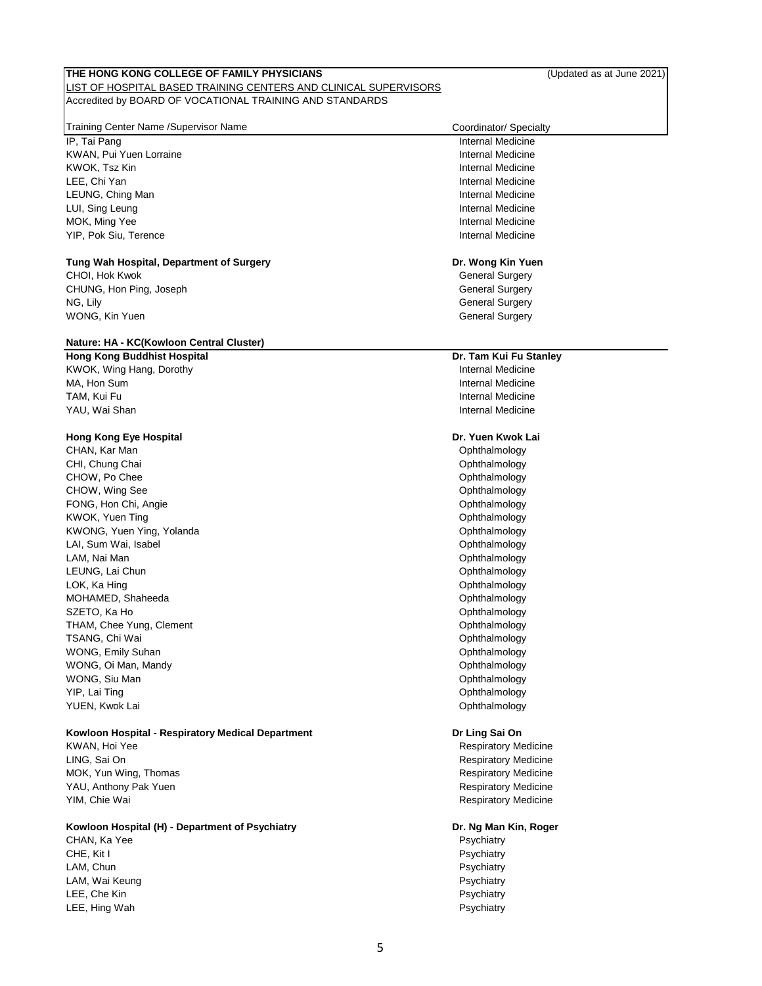#### **THE HONG KONG COLLEGE OF FAMILY PHYSICIANS** (Updated as at June 2021) LIST OF HOSPITAL BASED TRAINING CENTERS AND CLINICAL SUPERVISORS

Accredited by BOARD OF VOCATIONAL TRAINING AND STANDARDS

# Training Center Name /Supervisor Name Coordinator/ Specialty

IP, Tai Pang Internal Medicine KWAN, Pui Yuen Lorraine Internal Medicine Internal Medicine KWOK, Tsz Kin Internal Medicine LEE, Chi Yan Internal Medicine LEUNG, Ching Man **Internal Medicine Contract Contract Contract Contract Contract Contract Contract Contract Contract Contract Contract Contract Contract Contract Contract Contract Contract Contract Contract Contract Cont** LUI, Sing Leung **Internal Medicine** MOK, Ming Yee **Internal Medicine** YIP, Pok Siu, Terence **Internal Medicine** Internal Medicine

# **Tung Wah Hospital, Department of Surgery Dr. Wong Kin Yuen**

CHOI, Hok Kwok General Surgery Channels and Channels Channels and Channels Channels Channels Channels Channels Channels and Channels Channels and Channels and Channels and Channels and Channels and Channels and Channels an CHUNG, Hon Ping, Joseph General Surgery CHUNG, Hon Ping, Joseph General Surgery NG, Lily General Surgery WONG, Kin Yuen General Surgery Communication of the Communication of the General Surgery General Surgery

# **Nature: HA - KC(Kowloon Central Cluster)**

KWOK, Wing Hang, Dorothy **Internal Medicine** Internal Medicine MA, Hon Sum **Internal Medicine** TAM, Kui Fu Internal Medicine YAU, Wai Shan Internal Medicine

# **Hong Kong Eye Hospital Dr. Yuen Kwok Lai**

CHAN, Kar Man Channel Channel Channel Channel Channel Channel Channel Channel Channel Channel Channel Channel Channel Channel Channel Channel Channel Channel Channel Channel Channel Channel Channel Channel Channel Channel CHI, Chung Chai **Chai Chung Chai Chung Chai Chung Chai Chung Chai Chung Chai Chung Chai Chung Chai Chung Chai Chung Chung Chai Chung Chung Chung Chung Chung Chung Chung Chung Chung Chung Chung Chung Chung Chung Chung Chung** CHOW, Po Chee **Ophthalmology CHOW**, Po Chee CHOW, Wing See **Ophthalmology** CHOW, Wing See Ophthalmology FONG, Hon Chi, Angie **Chinage Chinage Chinage Chinage Chinage Chinage Chinage Chinage Chinage Chinage Chinage Chinage Chinage Chinage Chinage Chinage Chinage Chinage Chinage Chinage Chinage Chinage Chinage Chinage Chinage** KWOK, Yuen Ting **Ophthalmology CONSISTENT CONSISTS AND THE OPHTHALMOLOGY CONSISTS** KWONG, Yuen Ying, Yolanda **Ophthalmology Communist Communist Communist Communist Communist Communist Communist Communist Communist Communist Communist Communist Communist Communist Communist Communist Communist Communist** LAI, Sum Wai, Isabel **National Accord Contract Contract Contract Contract Contract Contract Contract Contract Contract Contract Contract Contract Contract Contract Contract Contract Contract Contract Contract Contract Cont** LAM, Nai Man Ophthalmology LEUNG, Lai Chun Ophthalmology and the contract of the contract of the contract of the contract of the contract of the contract of the contract of the contract of the contract of the contract of the contract of the contract LOK, Ka Hing **Contract Contract Contract Contract Contract Contract Contract Contract Contract Contract Contract Contract Contract Contract Contract Contract Contract Contract Contract Contract Contract Contract Contract C** MOHAMED, Shaheeda **Ophthalmology Ophthalmology** SZETO, Ka Ho Ophthalmology and the Control of the Control of the Control of the Control of the Control of the Control of the Control of the Control of the Control of the Control of the Control of the Control of the Control THAM, Chee Yung, Clement Cheener Cheese Cheener Cheener Cheener Cheener Cheener Cheener Cheener Cheener Cheener TSANG, Chi Wai Ophthalmology WONG, Emily Suhan **Ophthalmology CONG** WONG, Oi Man, Mandy **New York Contract Contract Contract Contract Contract Contract Contract Contract Contract Contract Contract Contract Contract Contract Contract Contract Contract Contract Contract Contract Contract Con** WONG, Siu Man **Ophthalmology** YIP, Lai Ting **Ophthalmology Community Community Community Community Community Community Community Community Community Community Community Community Community Community Community Community** YUEN, Kwok Lai **Ophthalmology** and the Community Community Community Community Community Community Community Community Community Community Community Community Community Community Community Community Community Community Com

# **Kowloon Hospital - Respiratory Medical Department Dr Ling Sai On**

KWAN, Hoi Yee **Respiratory Medicine** Respiratory Medicine LING, Sai On Respiratory Medicine MOK, Yun Wing, Thomas **Respiratory Medicine** and Thomas Respiratory Medicine YAU, Anthony Pak Yuen **Respiratory Medicine** Respiratory Medicine YIM, Chie Wai Respiratory Medicine

# **Kowloon Hospital (H) - Department of Psychiatry Dr. Ng Man Kin, Roger**

CHAN, Ka Yee Psychiatry and the Psychiatry of the Psychiatry of the Psychiatry of the Psychiatry of the Psychiatry CHE, Kit I Psychiatry CHE, Kit I Psychiatry CHE, CHE, Rise and CHE, Psychiatry Psychiatry LAM, Chun **Psychiatry** and the control of the control of the control of the control of the control of the control of the control of the control of the control of the control of the control of the control of the control of LAM, Wai Keung **Provident Contract Contract Contract Contract Contract Contract Contract Contract Contract Contract Contract Contract Contract Contract Contract Contract Contract Contract Contract Contract Contract Contrac** LEE, Che Kin Psychiatry LEE, Hing Wah **Provides and Contract Contract Contract Contract Contract Contract Contract Contract Contract Contract Contract Contract Contract Contract Contract Contract Contract Contract Contract Contract Contract Contr** 

# **Hong Kong Buddhist Hospital Dr. Tam Kui Fu Stanley**

5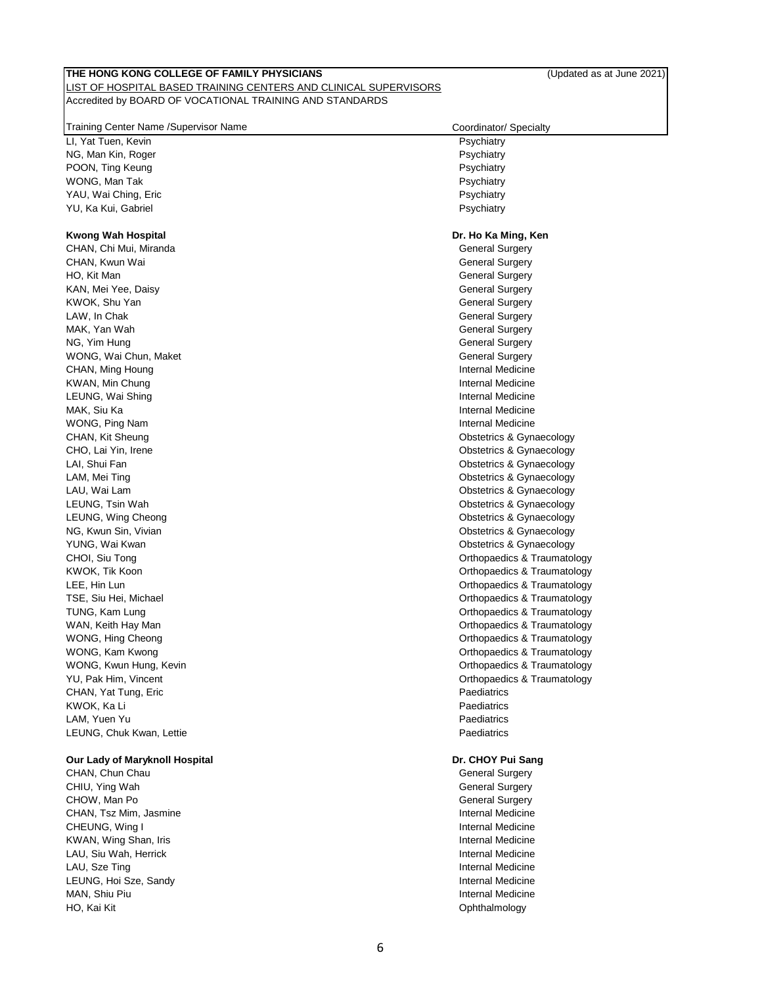# LIST OF HOSPITAL BASED TRAINING CENTERS AND CLINICAL SUPERVISORS Accredited by BOARD OF VOCATIONAL TRAINING AND STANDARDS

| Training Center Name / Supervisor Name | Coordinator/ Specialty      |
|----------------------------------------|-----------------------------|
| LI, Yat Tuen, Kevin                    | Psychiatry                  |
| NG, Man Kin, Roger                     | Psychiatry                  |
| POON, Ting Keung                       | Psychiatry                  |
| WONG, Man Tak                          | Psychiatry                  |
| YAU, Wai Ching, Eric                   | Psychiatry                  |
| YU, Ka Kui, Gabriel                    | Psychiatry                  |
|                                        |                             |
| <b>Kwong Wah Hospital</b>              | Dr. Ho Ka Ming, Ken         |
| CHAN, Chi Mui, Miranda                 | General Surgery             |
| CHAN, Kwun Wai                         | <b>General Surgery</b>      |
| HO, Kit Man                            | <b>General Surgery</b>      |
| KAN, Mei Yee, Daisy                    | <b>General Surgery</b>      |
| KWOK, Shu Yan                          | <b>General Surgery</b>      |
| LAW, In Chak                           | <b>General Surgery</b>      |
| MAK, Yan Wah                           | <b>General Surgery</b>      |
| NG, Yim Hung                           | <b>General Surgery</b>      |
| WONG, Wai Chun, Maket                  | <b>General Surgery</b>      |
| CHAN, Ming Houng                       | Internal Medicine           |
| KWAN, Min Chung                        | Internal Medicine           |
| LEUNG, Wai Shing                       | <b>Internal Medicine</b>    |
| MAK, Siu Ka                            | Internal Medicine           |
| WONG, Ping Nam                         | Internal Medicine           |
| CHAN, Kit Sheung                       | Obstetrics & Gynaecology    |
| CHO, Lai Yin, Irene                    | Obstetrics & Gynaecology    |
| LAI, Shui Fan                          | Obstetrics & Gynaecology    |
| LAM, Mei Ting                          | Obstetrics & Gynaecology    |
| LAU, Wai Lam                           | Obstetrics & Gynaecology    |
| LEUNG, Tsin Wah                        | Obstetrics & Gynaecology    |
| LEUNG, Wing Cheong                     | Obstetrics & Gynaecology    |
| NG, Kwun Sin, Vivian                   | Obstetrics & Gynaecology    |
| YUNG, Wai Kwan                         | Obstetrics & Gynaecology    |
| CHOI, Siu Tong                         | Orthopaedics & Traumatology |
| KWOK, Tik Koon                         | Orthopaedics & Traumatology |
| LEE, Hin Lun                           | Orthopaedics & Traumatology |
| TSE, Siu Hei, Michael                  | Orthopaedics & Traumatology |
| TUNG, Kam Lung                         | Orthopaedics & Traumatology |
| WAN, Keith Hay Man                     | Orthopaedics & Traumatology |
| WONG, Hing Cheong                      | Orthopaedics & Traumatology |
| WONG, Kam Kwong                        | Orthopaedics & Traumatology |
| WONG, Kwun Hung, Kevin                 | Orthopaedics & Traumatology |
| YU, Pak Him, Vincent                   | Orthopaedics & Traumatology |
| CHAN, Yat Tung, Eric                   | Paediatrics                 |
| KWOK, Ka Li                            | Paediatrics                 |
|                                        | Paediatrics                 |
| LAM, Yuen Yu                           |                             |
| LEUNG, Chuk Kwan, Lettie               | Paediatrics                 |
| Our Lady of Maryknoll Hospital         | Dr. CHOY Pui Sang           |
| CHAN, Chun Chau                        | <b>General Surgery</b>      |
| CHIU, Ying Wah                         | General Surgery             |
| CHOW, Man Po                           | <b>General Surgery</b>      |
| CHAN, Tsz Mim, Jasmine                 | Internal Medicine           |
| CHEUNG, Wing I                         | Internal Medicine           |
| KWAN, Wing Shan, Iris                  | Internal Medicine           |
| LAU, Siu Wah, Herrick                  | Internal Medicine           |
| LAU, Sze Ting                          | Internal Medicine           |
| LEUNG, Hoi Sze, Sandy                  | Internal Medicine           |
| MAN, Shiu Piu                          | Internal Medicine           |
|                                        |                             |

HO, Kai Kit **Ophthalmology**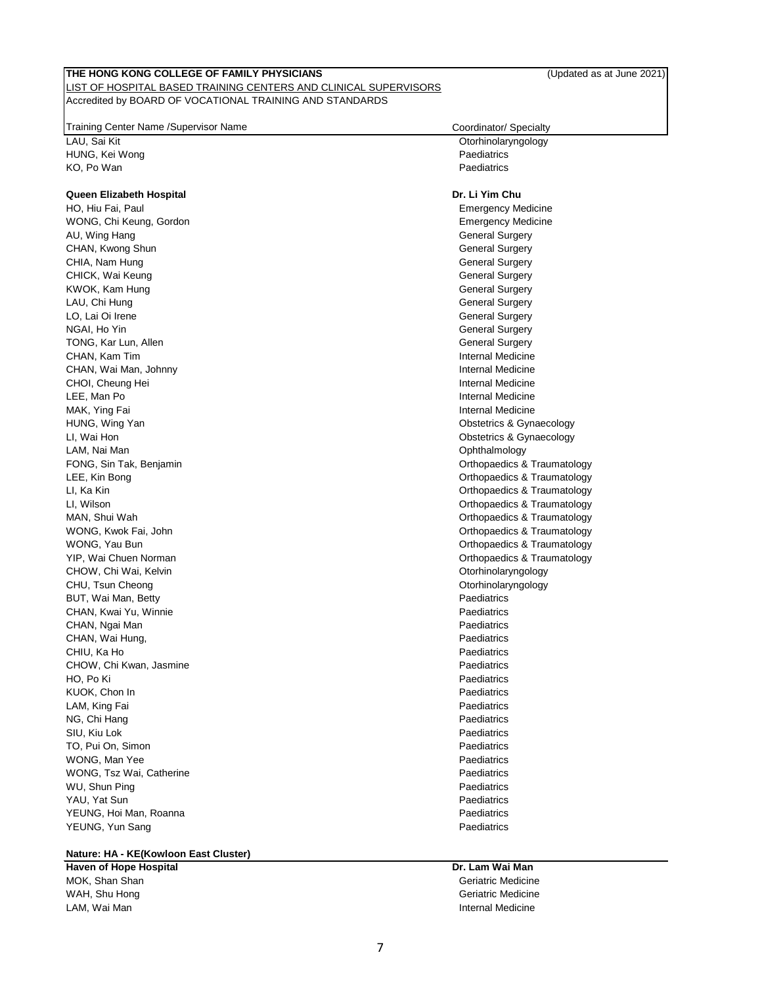### LIST OF HOSPITAL BASED TRAINING CENTERS AND CLINICAL SUPERVISORS Accredited by BOARD OF VOCATIONAL TRAINING AND STANDARDS

Training Center Name /Supervisor Name Contained American contains the Coordinator/ Specialty

LAU, Sai Kit Otorhinolaryngology HUNG, Kei Wong Paediatrics KO, Po Wan Paediatrics **Contract Contract Contract Contract Contract Contract Contract Contract Contract Contract Contract Contract Contract Contract Contract Contract Contract Contract Contract Contract Contract Contract** 

### **Queen Elizabeth Hospital Dr. Li Yim Chu**

HO, Hiu Fai, Paul Emergency Medicine WONG, Chi Keung, Gordon **Emergency Medicine** Controller Emergency Medicine AU, Wing Hang General Surgery and the Control of the Control of the Control of the General Surgery and the Control of the Control of the Control of the Control of the Control of the Control of the Control of the Control of CHAN, Kwong Shun General Surgery Shah General Surgery Shah General Surgery CHIA, Nam Hung General Surgery China Surgery China Surgery China Surgery China Surgery CHICK, Wai Keung General Surgery Chicago Chicago Chicago Chicago Chicago Chicago Chicago Chicago Chicago Chicago KWOK, Kam Hung General Surgery Communication of the Communication of the Communication of the General Surgery LAU, Chi Hung General Surgery Communication of the Communication of the Communication of the Communication of the Communication of the Communication of General Surgery General Surgery LO, Lai Oi Irene General Surgery Communication of the General Surgery Communication of the General Surgery NGAI, Ho Yin General Surgery and the United States of the United States of General Surgery TONG, Kar Lun, Allen General Surgery Communication of the General Surgery General Surgery CHAN, Kam Tim Internal Medicine CHAN, Wai Man, Johnny **Internal Medicine** CHAN, Wai Man, Johnny CHOI, Cheung Hei **Internal Medicine** CHOI, Cheung Hei **Internal Medicine** LEE, Man Po **Internal Medicine** MAK, Ying Fai **Internal Medicine** HUNG, Wing Yan **Obstetrics & Gynaecology Channel Controllering Channel Channel Channel Channel Channel Channel Channel Channel Channel Channel Channel Channel Channel Channel Channel Channel Channel Channel Channel Chann** LI, Wai Hon **Contract Contract Contract Contract Contract Contract Contract Contract Contract Contract Contract Contract Contract Contract Contract Contract Contract Contract Contract Contract Contract Contract Contract Co** LAM, Nai Man Ophthalmology FONG, Sin Tak, Benjamin **FONG, Traumatology FONG**, Sin Tak, Benjamin **Orthopaedics & Traumatology** LEE, Kin Bong **Contract Contract Contract Contract Contract Contract Contract Contract Contract Contract Contract Contract Contract Contract Contract Contract Contract Contract Contract Contract Contract Contract Contract** LI, Ka Kin Charles and Charles and Charles and Charles and Charles and Charles and Charles and Charles and Charles and Charles and Charles and Charles and Charles and Charles and Charles and Charles and Charles and Charles LI, Wilson Orthopaedics & Traumatology MAN, Shui Wah Orthopaedics & Traumatology WONG, Kwok Fai, John **Channel Community Community Community** Community Community Community Community Community Community Community Community Community Community Community Community Community Community Community Community C WONG, Yau Bun **WONG, Yau Bundalogy WONG, Yau Bundalogy Orthopaedics & Traumatology** YIP, Wai Chuen Norman **Orthopaedics & Traumatology Orthopaedics & Traumatology** CHOW, Chi Wai, Kelvin Otorhinolaryngology and China China China China China China China China China China China China China China China China China China China China China China China China China China China China China Ch CHU, Tsun Cheong **Otorhinolaryngology CHU**, Tsun Cheong **Otorhinolaryngology** BUT, Wai Man, Betty Paediatrics CHAN, Kwai Yu, Winnie **Paediatrics CHAN, Kwai Yu, Winnie** CHAN, Ngai Man Paediatrics CHAN, Wai Hung, **Paediatrics Paediatrics** CHIU, Ka Ho Paediatrics CHIU, Ka Ho Paediatrics CHIU, Ka Ho Paediatrics CHIU, Radiatrics CHIU, Radiatrics CHIU, Radiatrics CHIU, Radiatrics CHIU, Radiatrics CHIU, Radiatrics CHIU, Radiatrics CHIU, Radiatrics CHIU, Radiatri CHOW, Chi Kwan, Jasmine **Paediatrics Paediatrics Paediatrics** HO, Po Ki Paediatrics KUOK, Chon In Paediatrics **Contract Contract Contract Contract Contract Contract Contract Contract Contract Contract Contract Contract Contract Contract Contract Contract Contract Contract Contract Contract Contract Contra** LAM, King Fai **Paediatrics Contract Contract Contract Contract Contract Contract Contract Paediatrics** NG, Chi Hang Paediatrics **Paediatrics** SIU, Kiu Lok Paediatrics TO, Pui On, Simon **Paediatrics Contract Contract Contract Contract Contract Contract Contract Contract Contract Contract Contract Contract Contract Contract Contract Contract Contract Contract Contract Contract Contract** WONG, Man Yee **Paediatrics Paediatrics Paediatrics Paediatrics** WONG, Tsz Wai, Catherine **Paediatrics Paediatrics Paediatrics** WU, Shun Ping **Paediatrics Paediatrics Paediatrics** YAU, Yat Sun Paediatrics YEUNG, Hoi Man, Roanna **Paediatrics Paediatrics Paediatrics Paediatrics** YEUNG, Yun Sang Paediatrics Control of the Control of the Paediatrics Paediatrics Paediatrics

#### **Nature: HA - KE(Kowloon East Cluster)**

**Haven of Hope Hospital Dr. Lam Wai Man** MOK, Shan Shan Geriatric Medicine Control of the Shane Geriatric Medicine Control of the Shane Geriatric Medicine WAH, Shu Hong Geriatric Medicine Control of the Control of the Control of the Control of the Control of the Control of the Control of the Control of the Control of the Control of the Control of the Control of the Control o LAM, Wai Man Internal Medicine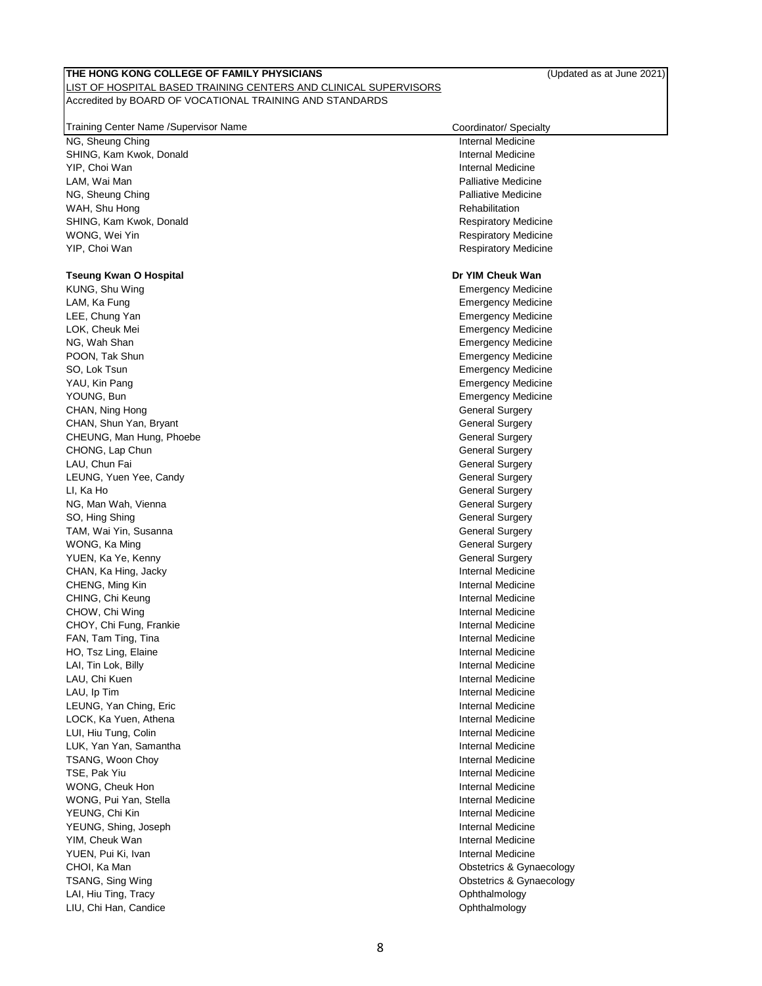# **THE HONG KONG COLLEGE OF FAMILY PHYSICIANS** (Updated as at June 2021) LIST OF HOSPITAL BASED TRAINING CENTERS AND CLINICAL SUPERVISORS

Accredited by BOARD OF VOCATIONAL TRAINING AND STANDARDS

| Training Center Name / Supervisor Name | Coordinator/ Specialty      |
|----------------------------------------|-----------------------------|
| NG, Sheung Ching                       | Internal Medicine           |
| SHING, Kam Kwok, Donald                | Internal Medicine           |
| YIP, Choi Wan                          | Internal Medicine           |
| LAM, Wai Man                           | <b>Palliative Medicine</b>  |
| NG, Sheung Ching                       | <b>Palliative Medicine</b>  |
| WAH, Shu Hong                          | Rehabilitation              |
| SHING, Kam Kwok, Donald                | <b>Respiratory Medicine</b> |
| WONG, Wei Yin                          | <b>Respiratory Medicine</b> |
| YIP, Choi Wan                          | <b>Respiratory Medicine</b> |
|                                        |                             |
| <b>Tseung Kwan O Hospital</b>          | Dr YIM Cheuk Wan            |
| KUNG, Shu Wing                         | <b>Emergency Medicine</b>   |
| LAM, Ka Fung                           | <b>Emergency Medicine</b>   |
| LEE, Chung Yan                         | <b>Emergency Medicine</b>   |
| LOK, Cheuk Mei                         | <b>Emergency Medicine</b>   |
| NG, Wah Shan                           | <b>Emergency Medicine</b>   |
| POON, Tak Shun                         | <b>Emergency Medicine</b>   |
| SO, Lok Tsun                           | <b>Emergency Medicine</b>   |
| YAU, Kin Pang                          | <b>Emergency Medicine</b>   |
| YOUNG, Bun                             | <b>Emergency Medicine</b>   |
| CHAN, Ning Hong                        | <b>General Surgery</b>      |
| CHAN, Shun Yan, Bryant                 | <b>General Surgery</b>      |
| CHEUNG, Man Hung, Phoebe               | <b>General Surgery</b>      |
| CHONG, Lap Chun                        | <b>General Surgery</b>      |
| LAU, Chun Fai                          | <b>General Surgery</b>      |
| LEUNG, Yuen Yee, Candy                 | <b>General Surgery</b>      |
| LI, Ka Ho                              | <b>General Surgery</b>      |
| NG, Man Wah, Vienna                    | <b>General Surgery</b>      |
| SO, Hing Shing                         | <b>General Surgery</b>      |
| TAM, Wai Yin, Susanna                  | <b>General Surgery</b>      |
| WONG, Ka Ming                          | <b>General Surgery</b>      |
| YUEN, Ka Ye, Kenny                     | <b>General Surgery</b>      |
| CHAN, Ka Hing, Jacky                   | Internal Medicine           |
| CHENG, Ming Kin                        | <b>Internal Medicine</b>    |
| CHING, Chi Keung                       | Internal Medicine           |
|                                        |                             |
| CHOW, Chi Wing                         | Internal Medicine           |
| CHOY, Chi Fung, Frankie                | Internal Medicine           |
| FAN, Tam Ting, Tina                    | Internal Medicine           |
| HO, Tsz Ling, Elaine                   | Internal Medicine           |
| LAI, Tin Lok, Billy                    | Internal Medicine           |
| LAU, Chi Kuen                          | Internal Medicine           |
| LAU, Ip Tim                            | Internal Medicine           |
| LEUNG, Yan Ching, Eric                 | Internal Medicine           |
| LOCK, Ka Yuen, Athena                  | Internal Medicine           |
| LUI, Hiu Tung, Colin                   | Internal Medicine           |
| LUK, Yan Yan, Samantha                 | Internal Medicine           |
| TSANG, Woon Choy                       | Internal Medicine           |
| TSE, Pak Yiu                           | Internal Medicine           |
| WONG, Cheuk Hon                        | Internal Medicine           |
| WONG, Pui Yan, Stella                  | Internal Medicine           |
| YEUNG, Chi Kin                         | Internal Medicine           |
| YEUNG, Shing, Joseph                   | Internal Medicine           |
| YIM, Cheuk Wan                         | <b>Internal Medicine</b>    |
| YUEN, Pui Ki, Ivan                     | Internal Medicine           |
| CHOI, Ka Man                           | Obstetrics & Gynaecology    |
| TSANG, Sing Wing                       | Obstetrics & Gynaecology    |
| LAI, Hiu Ting, Tracy                   | Ophthalmology               |
| LIU, Chi Han, Candice                  | Ophthalmology               |
|                                        |                             |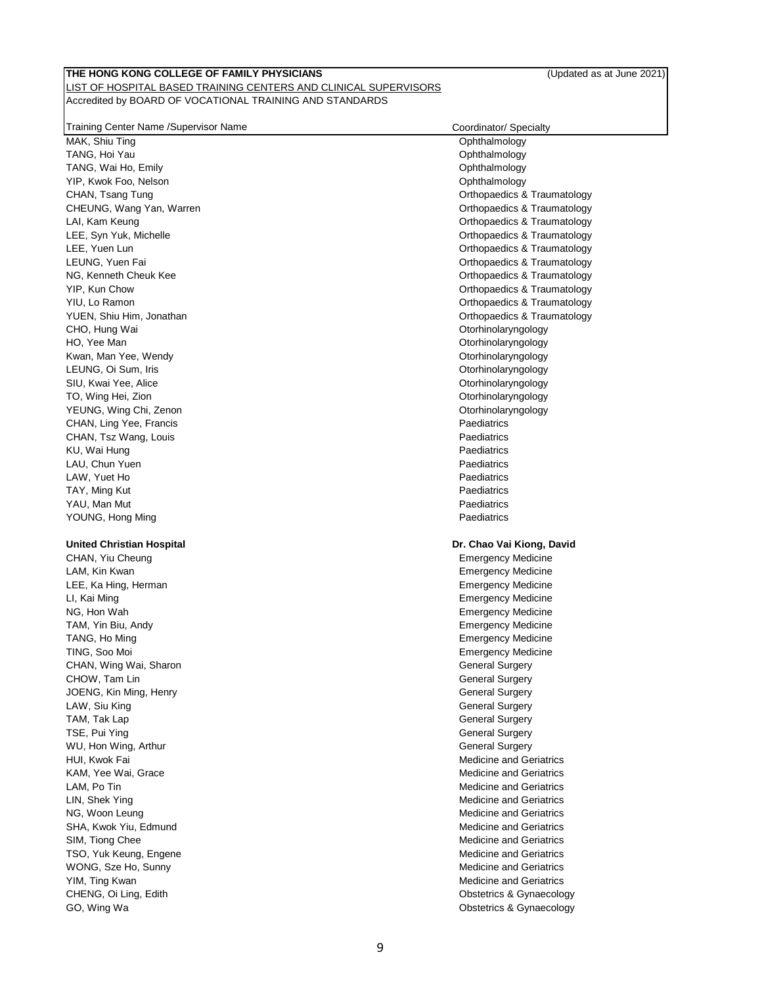# **THE HONG KONG COLLEGE OF FAMILY PHYSICIANS** (Updated as at June 2021) LIST OF HOSPITAL BASED TRAINING CENTERS AND CLINICAL SUPERVISORS

# Accredited by BOARD OF VOCATIONAL TRAINING AND STANDARDS

| Training Center Name /Supervisor Name | Coordinator/ Specialty                               |
|---------------------------------------|------------------------------------------------------|
| MAK, Shiu Ting                        | Ophthalmology                                        |
| TANG, Hoi Yau                         | Ophthalmology                                        |
| TANG, Wai Ho, Emily                   | Ophthalmology                                        |
| YIP, Kwok Foo, Nelson                 | Ophthalmology                                        |
| CHAN, Tsang Tung                      | Orthopaedics & Traumatology                          |
| CHEUNG, Wang Yan, Warren              | Orthopaedics & Traumatology                          |
| LAI, Kam Keung                        | Orthopaedics & Traumatology                          |
| LEE, Syn Yuk, Michelle                | Orthopaedics & Traumatology                          |
| LEE, Yuen Lun                         | Orthopaedics & Traumatology                          |
| LEUNG, Yuen Fai                       | Orthopaedics & Traumatology                          |
| NG, Kenneth Cheuk Kee                 | Orthopaedics & Traumatology                          |
| YIP, Kun Chow                         | Orthopaedics & Traumatology                          |
| YIU, Lo Ramon                         | Orthopaedics & Traumatology                          |
| YUEN, Shiu Him, Jonathan              | Orthopaedics & Traumatology                          |
| CHO, Hung Wai                         | Otorhinolaryngology                                  |
| HO, Yee Man                           | Otorhinolaryngology                                  |
| Kwan, Man Yee, Wendy                  | Otorhinolaryngology                                  |
| LEUNG, Oi Sum, Iris                   | Otorhinolaryngology                                  |
| SIU, Kwai Yee, Alice                  | Otorhinolaryngology                                  |
| TO, Wing Hei, Zion                    | Otorhinolaryngology                                  |
| YEUNG, Wing Chi, Zenon                | Otorhinolaryngology                                  |
| CHAN, Ling Yee, Francis               | Paediatrics                                          |
| CHAN, Tsz Wang, Louis                 | Paediatrics                                          |
| KU, Wai Hung                          | Paediatrics                                          |
| LAU, Chun Yuen                        | Paediatrics                                          |
| LAW, Yuet Ho                          | Paediatrics                                          |
| TAY, Ming Kut                         | Paediatrics                                          |
| YAU, Man Mut                          | Paediatrics                                          |
| YOUNG, Hong Ming                      | Paediatrics                                          |
|                                       |                                                      |
| <b>United Christian Hospital</b>      | Dr. Chao Vai Kiong, David                            |
| CHAN, Yiu Cheung                      | <b>Emergency Medicine</b>                            |
| LAM, Kin Kwan                         | <b>Emergency Medicine</b>                            |
| LEE, Ka Hing, Herman                  | <b>Emergency Medicine</b>                            |
| LI, Kai Ming                          | <b>Emergency Medicine</b>                            |
| NG, Hon Wah                           | <b>Emergency Medicine</b>                            |
| TAM, Yin Biu, Andy                    | <b>Emergency Medicine</b>                            |
|                                       |                                                      |
| TANG, Ho Ming                         | <b>Emergency Medicine</b>                            |
| TING, Soo Moi                         | <b>Emergency Medicine</b>                            |
| CHAN, Wing Wai, Sharon                | <b>General Surgery</b>                               |
| CHOW, Tam Lin                         | <b>General Surgery</b>                               |
| JOENG, Kin Ming, Henry                | <b>General Surgery</b>                               |
| LAW, Siu King                         | <b>General Surgery</b>                               |
| TAM, Tak Lap                          | <b>General Surgery</b>                               |
| TSE, Pui Ying                         | <b>General Surgery</b>                               |
| WU, Hon Wing, Arthur                  | <b>General Surgery</b>                               |
| HUI, Kwok Fai                         | <b>Medicine and Geriatrics</b>                       |
| KAM, Yee Wai, Grace                   | Medicine and Geriatrics                              |
| LAM, Po Tin                           | <b>Medicine and Geriatrics</b>                       |
| LIN, Shek Ying                        | <b>Medicine and Geriatrics</b>                       |
| NG, Woon Leung                        | <b>Medicine and Geriatrics</b>                       |
| SHA, Kwok Yiu, Edmund                 | <b>Medicine and Geriatrics</b>                       |
| SIM, Tiong Chee                       | <b>Medicine and Geriatrics</b>                       |
| TSO, Yuk Keung, Engene                | <b>Medicine and Geriatrics</b>                       |
| WONG, Sze Ho, Sunny                   | <b>Medicine and Geriatrics</b>                       |
| YIM, Ting Kwan                        | <b>Medicine and Geriatrics</b>                       |
| CHENG, Oi Ling, Edith<br>GO, Wing Wa  | Obstetrics & Gynaecology<br>Obstetrics & Gynaecology |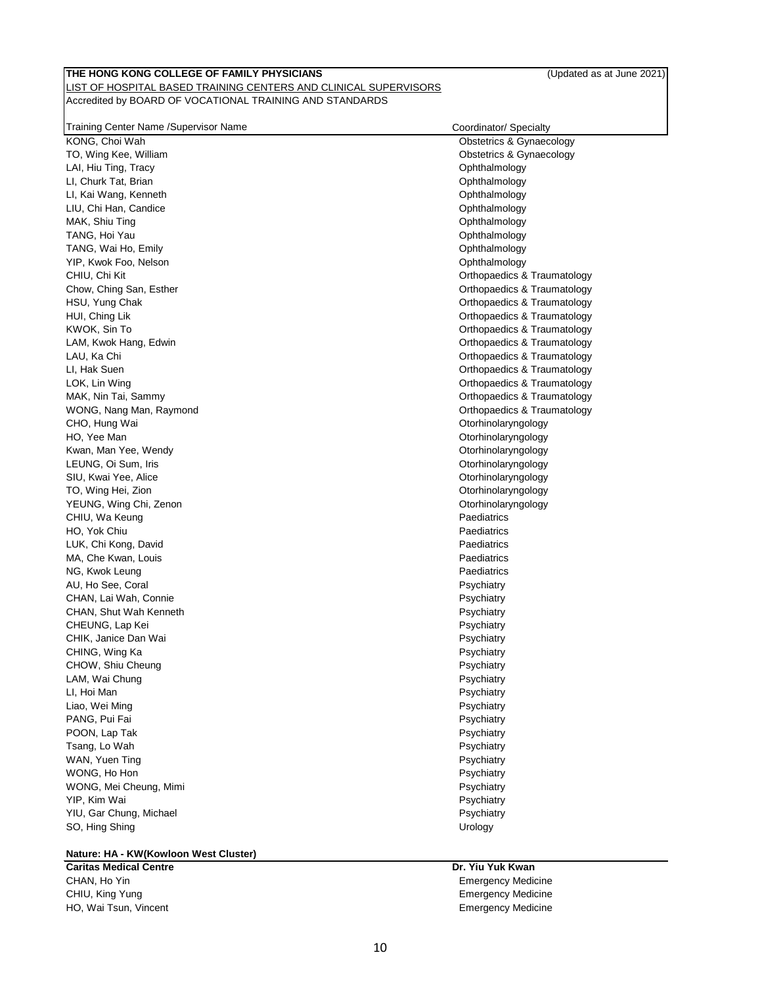| Training Center Name / Supervisor Name | Coordinator/ Specialty      |
|----------------------------------------|-----------------------------|
| KONG, Choi Wah                         | Obstetrics & Gynaecology    |
| TO, Wing Kee, William                  | Obstetrics & Gynaecology    |
| LAI, Hiu Ting, Tracy                   | Ophthalmology               |
| LI, Churk Tat, Brian                   | Ophthalmology               |
| LI, Kai Wang, Kenneth                  | Ophthalmology               |
| LIU, Chi Han, Candice                  | Ophthalmology               |
| MAK, Shiu Ting                         | Ophthalmology               |
| TANG, Hoi Yau                          | Ophthalmology               |
| TANG, Wai Ho, Emily                    | Ophthalmology               |
|                                        |                             |
| YIP, Kwok Foo, Nelson                  | Ophthalmology               |
| CHIU, Chi Kit                          | Orthopaedics & Traumatology |
| Chow, Ching San, Esther                | Orthopaedics & Traumatology |
| HSU, Yung Chak                         | Orthopaedics & Traumatology |
| HUI, Ching Lik                         | Orthopaedics & Traumatology |
| KWOK, Sin To                           | Orthopaedics & Traumatology |
| LAM, Kwok Hang, Edwin                  | Orthopaedics & Traumatology |
| LAU, Ka Chi                            | Orthopaedics & Traumatology |
| LI, Hak Suen                           | Orthopaedics & Traumatology |
| LOK, Lin Wing                          | Orthopaedics & Traumatology |
| MAK, Nin Tai, Sammy                    | Orthopaedics & Traumatology |
| WONG, Nang Man, Raymond                | Orthopaedics & Traumatology |
| CHO, Hung Wai                          | Otorhinolaryngology         |
| HO, Yee Man                            | Otorhinolaryngology         |
| Kwan, Man Yee, Wendy                   | Otorhinolaryngology         |
| LEUNG, Oi Sum, Iris                    | Otorhinolaryngology         |
| SIU, Kwai Yee, Alice                   | Otorhinolaryngology         |
| TO, Wing Hei, Zion                     | Otorhinolaryngology         |
| YEUNG, Wing Chi, Zenon                 | Otorhinolaryngology         |
| CHIU, Wa Keung                         | Paediatrics                 |
| HO, Yok Chiu                           | Paediatrics                 |
| LUK, Chi Kong, David                   | Paediatrics                 |
| MA, Che Kwan, Louis                    | Paediatrics                 |
| NG, Kwok Leung                         | Paediatrics                 |
| AU, Ho See, Coral                      | Psychiatry                  |
| CHAN, Lai Wah, Connie                  | Psychiatry                  |
| CHAN, Shut Wah Kenneth                 | Psychiatry                  |
| CHEUNG, Lap Kei                        | Psychiatry                  |
| CHIK, Janice Dan Wai                   | Psychiatry                  |
| CHING, Wing Ka                         | Psychiatry                  |
| CHOW, Shiu Cheung                      | Psychiatry                  |
| LAM, Wai Chung                         | Psychiatry                  |
| LI. Hoi Man                            | Psychiatry                  |
| Liao, Wei Ming                         | Psychiatry                  |
| PANG, Pui Fai                          | Psychiatry                  |
| POON, Lap Tak                          | Psychiatry                  |
| Tsang, Lo Wah                          | Psychiatry                  |
| WAN, Yuen Ting                         | Psychiatry                  |
| WONG, Ho Hon                           | Psychiatry                  |
| WONG, Mei Cheung, Mimi                 | Psychiatry                  |
| YIP, Kim Wai                           | Psychiatry                  |
| YIU, Gar Chung, Michael                | Psychiatry                  |
| SO, Hing Shing                         | Urology                     |
|                                        |                             |

# **Nature: HA - KW(Kowloon West Cluster)**

**Caritas Medical Centre Dr. Yiu Yuk Kwan** CHAN, Ho Yin Emergency Medicine CHIU, King Yung Emergency Medicine HO, Wai Tsun, Vincent **Emergency Medicine** Emergency Medicine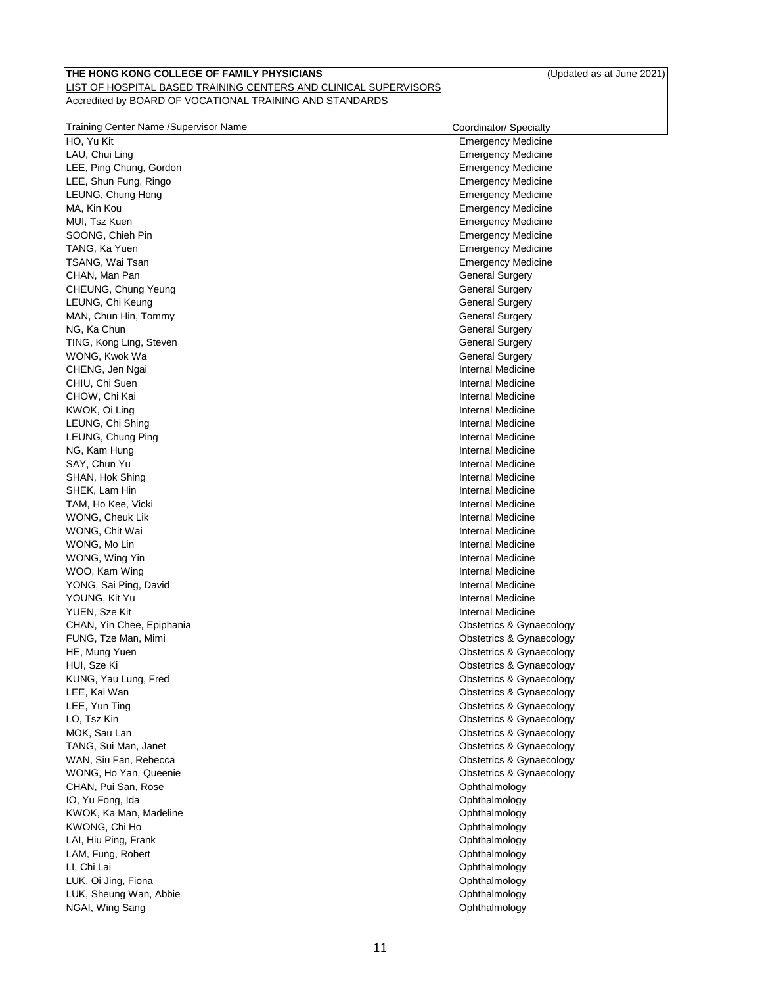| Training Center Name / Supervisor Name | Coordinator/ Specialty    |
|----------------------------------------|---------------------------|
| HO, Yu Kit                             | <b>Emergency Medicine</b> |
| LAU, Chui Ling                         | Emergency Medicine        |
| LEE, Ping Chung, Gordon                | <b>Emergency Medicine</b> |
| LEE, Shun Fung, Ringo                  | <b>Emergency Medicine</b> |
| LEUNG, Chung Hong                      | <b>Emergency Medicine</b> |
| MA, Kin Kou                            | <b>Emergency Medicine</b> |
| MUI, Tsz Kuen                          | Emergency Medicine        |
| SOONG, Chieh Pin                       | <b>Emergency Medicine</b> |
| TANG, Ka Yuen                          | <b>Emergency Medicine</b> |
| TSANG, Wai Tsan                        | <b>Emergency Medicine</b> |
| CHAN, Man Pan                          | <b>General Surgery</b>    |
| CHEUNG, Chung Yeung                    | General Surgery           |
| LEUNG, Chi Keung                       | <b>General Surgery</b>    |
| MAN, Chun Hin, Tommy                   | General Surgery           |
| NG, Ka Chun                            | <b>General Surgery</b>    |
| TING, Kong Ling, Steven                | <b>General Surgery</b>    |
| WONG, Kwok Wa                          | <b>General Surgery</b>    |
| CHENG, Jen Ngai                        | Internal Medicine         |
| CHIU, Chi Suen                         | Internal Medicine         |
| CHOW, Chi Kai                          | Internal Medicine         |
| KWOK, Oi Ling                          | Internal Medicine         |
| LEUNG, Chi Shing                       | Internal Medicine         |
| LEUNG, Chung Ping                      | Internal Medicine         |
| NG, Kam Hung                           | Internal Medicine         |
| SAY, Chun Yu                           | Internal Medicine         |
| SHAN, Hok Shing                        | Internal Medicine         |
| SHEK, Lam Hin                          | Internal Medicine         |
| TAM, Ho Kee, Vicki                     | Internal Medicine         |
| WONG, Cheuk Lik                        | Internal Medicine         |
| WONG, Chit Wai                         | Internal Medicine         |
| WONG, Mo Lin                           | Internal Medicine         |
| WONG, Wing Yin                         | Internal Medicine         |
| WOO, Kam Wing                          | Internal Medicine         |
| YONG, Sai Ping, David                  | Internal Medicine         |
| YOUNG, Kit Yu                          | Internal Medicine         |
| YUEN, Sze Kit                          | Internal Medicine         |
| CHAN, Yin Chee, Epiphania              | Obstetrics & Gynaecology  |
| FUNG, Tze Man, Mimi                    | Obstetrics & Gynaecology  |
| HE, Mung Yuen                          | Obstetrics & Gynaecology  |
| HUI, Sze Ki                            | Obstetrics & Gynaecology  |
| KUNG, Yau Lung, Fred                   | Obstetrics & Gynaecology  |
| LEE, Kai Wan                           | Obstetrics & Gynaecology  |
| LEE, Yun Ting                          | Obstetrics & Gynaecology  |
| LO, Tsz Kin                            | Obstetrics & Gynaecology  |
| MOK, Sau Lan                           | Obstetrics & Gynaecology  |
| TANG, Sui Man, Janet                   | Obstetrics & Gynaecology  |
| WAN, Siu Fan, Rebecca                  | Obstetrics & Gynaecology  |
| WONG, Ho Yan, Queenie                  | Obstetrics & Gynaecology  |
| CHAN, Pui San, Rose                    | Ophthalmology             |
| IO, Yu Fong, Ida                       | Ophthalmology             |
| KWOK, Ka Man, Madeline                 | Ophthalmology             |
| KWONG, Chi Ho                          | Ophthalmology             |
| LAI, Hiu Ping, Frank                   | Ophthalmology             |
| LAM, Fung, Robert                      | Ophthalmology             |
| LI, Chi Lai                            | Ophthalmology             |
| LUK, Oi Jing, Fiona                    | Ophthalmology             |
| LUK, Sheung Wan, Abbie                 | Ophthalmology             |

11

NGAI, Wing Sang **Ophthalmology CONSERVINGS**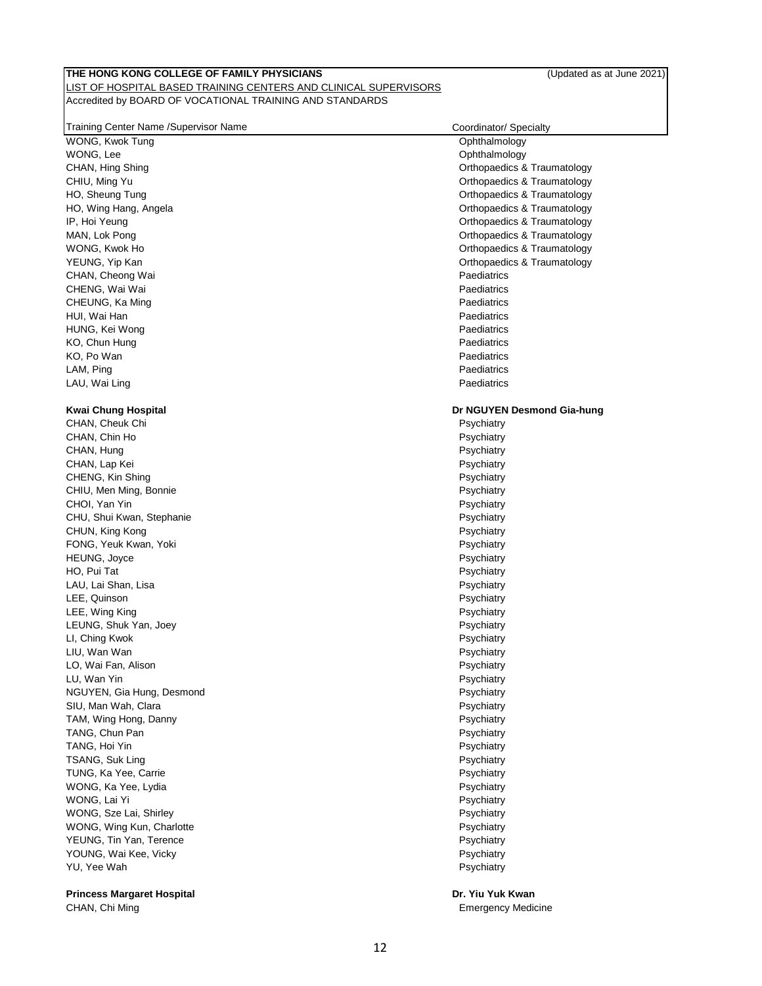| Training Center Name / Supervisor Name | Coordinator/ Specialty      |
|----------------------------------------|-----------------------------|
| WONG, Kwok Tung                        | Ophthalmology               |
| WONG, Lee                              | Ophthalmology               |
| CHAN, Hing Shing                       | Orthopaedics & Traumatology |
| CHIU, Ming Yu                          | Orthopaedics & Traumatology |
| HO, Sheung Tung                        | Orthopaedics & Traumatology |
| HO, Wing Hang, Angela                  | Orthopaedics & Traumatology |
| IP, Hoi Yeung                          | Orthopaedics & Traumatology |
| MAN, Lok Pong                          | Orthopaedics & Traumatology |
| WONG, Kwok Ho                          | Orthopaedics & Traumatology |
| YEUNG, Yip Kan                         | Orthopaedics & Traumatology |
| CHAN, Cheong Wai                       | Paediatrics                 |
| CHENG, Wai Wai                         | Paediatrics                 |
| CHEUNG, Ka Ming                        | Paediatrics                 |
| HUI, Wai Han                           | Paediatrics                 |
| HUNG, Kei Wong                         | Paediatrics                 |
| KO, Chun Hung                          | Paediatrics                 |
| KO, Po Wan                             | Paediatrics                 |
| LAM, Ping                              | Paediatrics                 |
| LAU, Wai Ling                          | Paediatrics                 |
|                                        |                             |
| Kwai Chung Hospital                    | Dr NGUYEN Desmond Gia-hung  |
| CHAN, Cheuk Chi                        | Psychiatry                  |
| CHAN, Chin Ho                          | Psychiatry                  |
| CHAN, Hung                             | Psychiatry                  |
| CHAN, Lap Kei                          | Psychiatry                  |
| CHENG, Kin Shing                       | Psychiatry                  |
| CHIU, Men Ming, Bonnie                 | Psychiatry                  |
| CHOI, Yan Yin                          | Psychiatry                  |
| CHU, Shui Kwan, Stephanie              | Psychiatry                  |
| CHUN, King Kong                        | Psychiatry                  |
| FONG, Yeuk Kwan, Yoki                  | Psychiatry                  |
| HEUNG, Joyce                           | Psychiatry                  |
| HO, Pui Tat                            | Psychiatry                  |
| LAU, Lai Shan, Lisa                    | Psychiatry                  |
| LEE, Quinson                           | Psychiatry                  |
| LEE, Wing King                         | Psychiatry                  |
| LEUNG, Shuk Yan, Joey                  | Psychiatry                  |
| LI, Ching Kwok                         | Psychiatry                  |
| LIU, Wan Wan                           | Psychiatry                  |
| LO, Wai Fan, Alison                    | Psychiatry                  |
| LU, Wan Yin                            | Psychiatry                  |
| NGUYEN, Gia Hung, Desmond              | Psychiatry                  |
| SIU, Man Wah, Clara                    | Psychiatry                  |
| TAM, Wing Hong, Danny                  | Psychiatry                  |
| TANG, Chun Pan                         | Psychiatry                  |
| TANG, Hoi Yin                          | Psychiatry                  |
| TSANG, Suk Ling                        | Psychiatry                  |
| TUNG, Ka Yee, Carrie                   | Psychiatry                  |
| WONG, Ka Yee, Lydia                    | Psychiatry                  |
| WONG, Lai Yi                           | Psychiatry                  |
| WONG, Sze Lai, Shirley                 | Psychiatry                  |
| WONG, Wing Kun, Charlotte              | Psychiatry                  |
| YEUNG, Tin Yan, Terence                | Psychiatry                  |
| YOUNG, Wai Kee, Vicky                  | Psychiatry                  |
| YU, Yee Wah                            | Psychiatry                  |
|                                        |                             |
| <b>Princess Margaret Hospital</b>      | Dr. Yiu Yuk Kwan            |
| CHAN, Chi Ming                         | <b>Emergency Medicine</b>   |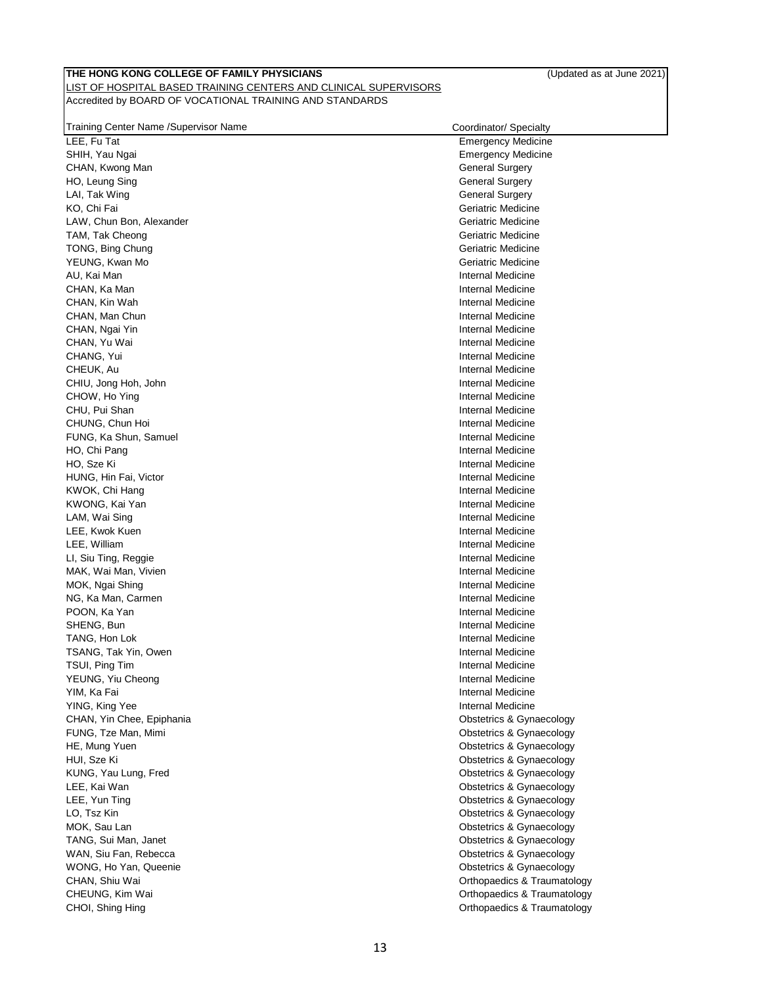| Training Center Name / Supervisor Name | Coordinator/ Specialty      |
|----------------------------------------|-----------------------------|
| LEE, Fu Tat                            | <b>Emergency Medicine</b>   |
| SHIH, Yau Ngai                         | <b>Emergency Medicine</b>   |
| CHAN, Kwong Man                        | <b>General Surgery</b>      |
| HO, Leung Sing                         | <b>General Surgery</b>      |
| LAI, Tak Wing                          | <b>General Surgery</b>      |
| KO, Chi Fai                            | Geriatric Medicine          |
| LAW, Chun Bon, Alexander               | Geriatric Medicine          |
| TAM, Tak Cheong                        | Geriatric Medicine          |
| TONG, Bing Chung                       | Geriatric Medicine          |
| YEUNG, Kwan Mo                         | Geriatric Medicine          |
| AU. Kai Man                            | Internal Medicine           |
| CHAN, Ka Man                           | Internal Medicine           |
| CHAN, Kin Wah                          | Internal Medicine           |
| CHAN, Man Chun                         | Internal Medicine           |
|                                        | Internal Medicine           |
| CHAN, Ngai Yin                         |                             |
| CHAN, Yu Wai                           | Internal Medicine           |
| CHANG, Yui                             | Internal Medicine           |
| CHEUK, Au                              | Internal Medicine           |
| CHIU, Jong Hoh, John                   | Internal Medicine           |
| CHOW, Ho Ying                          | Internal Medicine           |
| CHU, Pui Shan                          | Internal Medicine           |
| CHUNG, Chun Hoi                        | Internal Medicine           |
| FUNG, Ka Shun, Samuel                  | Internal Medicine           |
| HO, Chi Pang                           | Internal Medicine           |
| HO, Sze Ki                             | Internal Medicine           |
| HUNG, Hin Fai, Victor                  | Internal Medicine           |
| KWOK, Chi Hang                         | Internal Medicine           |
| KWONG, Kai Yan                         | Internal Medicine           |
| LAM, Wai Sing                          | Internal Medicine           |
| LEE, Kwok Kuen                         | Internal Medicine           |
| LEE, William                           | Internal Medicine           |
| LI, Siu Ting, Reggie                   | Internal Medicine           |
| MAK, Wai Man, Vivien                   | Internal Medicine           |
| MOK, Ngai Shing                        | Internal Medicine           |
| NG, Ka Man, Carmen                     | Internal Medicine           |
| POON, Ka Yan                           | Internal Medicine           |
| SHENG, Bun                             | Internal Medicine           |
| TANG, Hon Lok                          | Internal Medicine           |
| TSANG, Tak Yin, Owen                   | Internal Medicine           |
| TSUI, Ping Tim                         | Internal Medicine           |
| YEUNG, Yiu Cheong                      | Internal Medicine           |
| YIM, Ka Fai                            | Internal Medicine           |
| YING, King Yee                         | Internal Medicine           |
| CHAN, Yin Chee, Epiphania              | Obstetrics & Gynaecology    |
| FUNG, Tze Man, Mimi                    | Obstetrics & Gynaecology    |
| HE, Mung Yuen                          | Obstetrics & Gynaecology    |
| HUI, Sze Ki                            | Obstetrics & Gynaecology    |
| KUNG, Yau Lung, Fred                   | Obstetrics & Gynaecology    |
| LEE, Kai Wan                           | Obstetrics & Gynaecology    |
| LEE, Yun Ting                          | Obstetrics & Gynaecology    |
| LO, Tsz Kin                            | Obstetrics & Gynaecology    |
| MOK, Sau Lan                           | Obstetrics & Gynaecology    |
| TANG, Sui Man, Janet                   | Obstetrics & Gynaecology    |
| WAN, Siu Fan, Rebecca                  | Obstetrics & Gynaecology    |
| WONG, Ho Yan, Queenie                  | Obstetrics & Gynaecology    |
| CHAN, Shiu Wai                         | Orthopaedics & Traumatology |
| CHEUNG, Kim Wai                        | Orthopaedics & Traumatology |
|                                        |                             |
| CHOI, Shing Hing                       | Orthopaedics & Traumatology |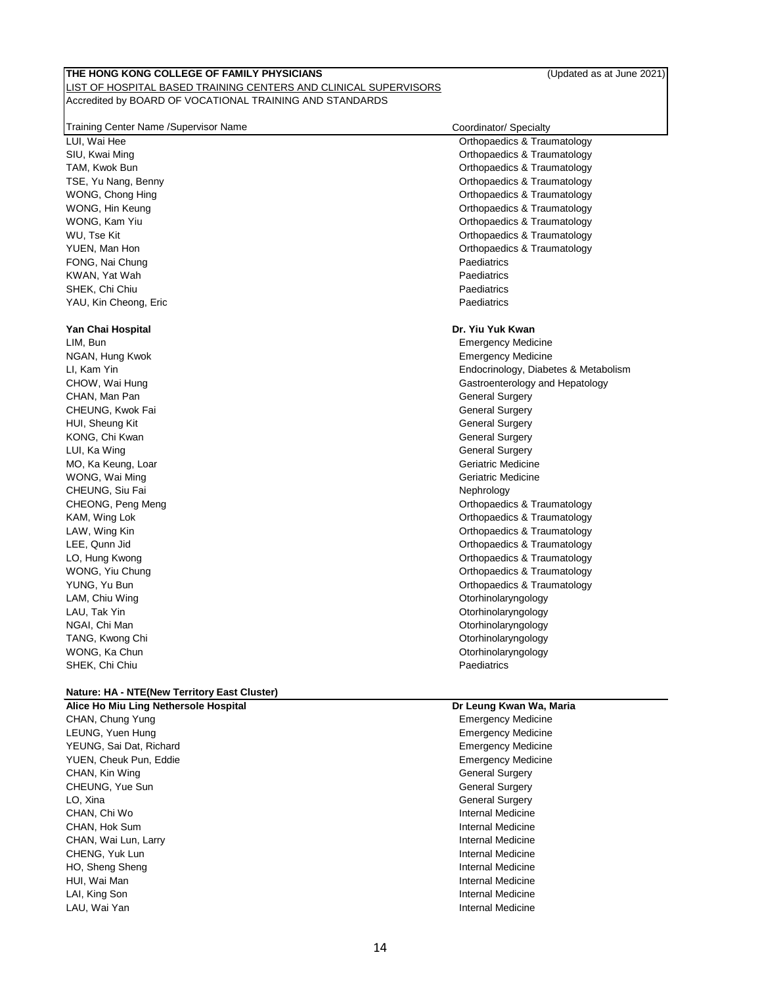| Training Center Name /Supervisor Name | Coordinator/ Specialty                 |
|---------------------------------------|----------------------------------------|
| LUI, Wai Hee                          | Orthopaedics & Traumatology            |
| SIU, Kwai Ming                        | <b>Orthopaedics &amp; Traumatology</b> |
| TAM, Kwok Bun                         | Orthopaedics & Traumatology            |
| TSE, Yu Nang, Benny                   | Orthopaedics & Traumatology            |
| WONG, Chong Hing                      | Orthopaedics & Traumatology            |
| WONG, Hin Keung                       | Orthopaedics & Traumatology            |
| WONG, Kam Yiu                         | Orthopaedics & Traumatology            |
| WU, Tse Kit                           | Orthopaedics & Traumatology            |
| YUEN, Man Hon                         | Orthopaedics & Traumatology            |
| FONG, Nai Chung                       | Paediatrics                            |
| KWAN, Yat Wah                         | Paediatrics                            |
| SHEK, Chi Chiu                        | Paediatrics                            |
| YAU, Kin Cheong, Eric                 | Paediatrics                            |
| Yan Chai Hospital                     | Dr. Yiu Yuk Kwan                       |
| LIM, Bun                              | <b>Emergency Medicine</b>              |
| NGAN, Hung Kwok                       | <b>Emergency Medicine</b>              |
| LI, Kam Yin                           | Endocrinology, Diabetes & Metabolism   |
| CHOW, Wai Hung                        | Gastroenterology and Hepatology        |
| CHAN, Man Pan                         | General Surgery                        |
| CHEUNG, Kwok Fai                      | <b>General Surgery</b>                 |
| HUI, Sheung Kit                       | <b>General Surgery</b>                 |
| KONG, Chi Kwan                        | <b>General Surgery</b>                 |
| LUI, Ka Wing                          | <b>General Surgery</b>                 |
| MO, Ka Keung, Loar                    | Geriatric Medicine                     |
| WONG, Wai Ming                        | Geriatric Medicine                     |
| CHEUNG, Siu Fai                       | Nephrology                             |
| CHEONG, Peng Meng                     | <b>Orthopaedics &amp; Traumatology</b> |
| KAM, Wing Lok                         | Orthopaedics & Traumatology            |
| LAW, Wing Kin                         | Orthopaedics & Traumatology            |
| LEE, Qunn Jid                         | Orthopaedics & Traumatology            |
| LO, Hung Kwong                        | Orthopaedics & Traumatology            |
| WONG, Yiu Chung                       | Orthopaedics & Traumatology            |
| YUNG, Yu Bun                          | Orthopaedics & Traumatology            |
| LAM, Chiu Wing                        | Otorhinolaryngology                    |
| LAU, Tak Yin                          | Otorhinolaryngology                    |
| NGAI, Chi Man                         | Otorhinolaryngology                    |
| TANG, Kwong Chi                       | Otorhinolaryngology                    |
| WONG, Ka Chun                         | Otorhinolaryngology                    |
| SHEK, Chi Chiu                        | Paediatrics                            |
|                                       |                                        |

# **Nature: HA - NTE(New Territory East Cluster)**

CHAN, Chung Yung **Emergency Medicine** CHAN, Chung Yung **Emergency Medicine** LEUNG, Yuen Hung **Emergency Medicine** YEUNG, Sai Dat, Richard Emergency Medicine YUEN, Cheuk Pun, Eddie Emergency Medicine CHAN, Kin Wing General Surgery CHAN, Kin Wing General Surgery CHEUNG, Yue Sun General Surgery CHEUNG, Yue Sun General Surgery LO, Xina General Surgery Communication of the Communication of the General Surgery General Surgery CHAN, Chi Wo **Internal Medicine** CHAN, Chi Wo Internal Medicine CHAN, Hok Sum **Internal Medicine** CHAN, Wai Lun, Larry **Internal Medicine** CHAN, Wai Lun, Larry **Internal Medicine** CHENG, Yuk Lun **Internal Medicine** HO, Sheng Sheng Internal Medicine internal Medicine HUI, Wai Man Internal Medicine LAI, King Son **Internal Medicine** and The Internal Medicine and The Internal Medicine LAU, Wai Yan Internal Medicine

# **Alice Ho Miu Ling Nethersole Hospital Dr Leung Kwan Wa, Maria**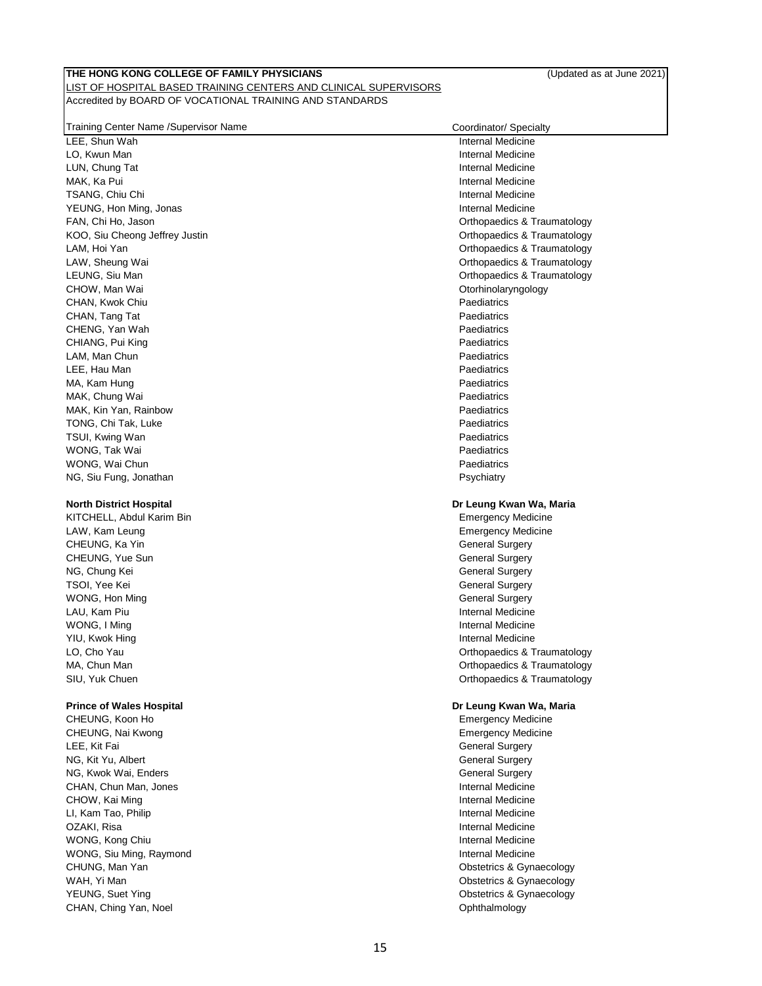# Training Center Name /Supervisor Name Coordinator/ Specialty

#### **North District Hospital**

KITCHELL, Abdul Karim Bin LAW, Kam Leung CHEUNG, Ka Yin CHEUNG, Yue Sun NG, Chung Kei General Surgery Chung Kei General Surgery General Surgery Chung Kei General Surgery General Surgery TSOI, Yee Kei General Surgery Surgery Surgery Surgery Surgery Surgery Surgery Surgery Surgery Surgery Surgery WONG, Hon Ming General Surgery Control of the Control of the Control of the General Surgery Control of the General Surgery LAU, Kam Piu **Internal Medicine** WONG, I Ming **Internal Medicine** YIU, Kwok Hing **Internal Medicine** SIU, Yuk Chuen **Chuen Chuen Chuen Chuen Chuen Chuen Chuen Chuen Chuen Chuen Chuen Chuen Chuen Chuen Chuen Chuen Chuen Chuen Chuen Chuen Chuen Chuen Chuen Chuen Chuen Chuen Chuen Chuen Chuen Chuen Chuen Chuen Chuen Chuen Ch** 

CHEUNG, Nai Kwong **Emergency Medicine** CHEUNG, Nai Kwong **Emergency Medicine** LEE, Kit Fai General Surgery Communication of the Communication of the General Surgery Communication of the General Surgery NG, Kit Yu, Albert General Surgery Communication of the General Surgery General Surgery NG, Kwok Wai, Enders General Surgery Communication of the General Surgery General Surgery CHAN, Chun Man, Jones **Internal Medicine** CHAN, Chun Man, Jones Internal Medicine CHOW, Kai Ming **Internal Medicine** and CHOW, Kai Ming Internal Medicine LI, Kam Tao, Philip **Internal Medicine Internal Medicine** OZAKI, Risa **Internal Medicine** WONG, Kong Chiu **Internal Medicine** and The Internal Medicine and The Internal Medicine WONG, Siu Ming, Raymond **Internal Medicine** Internal Medicine CHUNG, Man Yan **Channel Church Church Church Church Church** Church Church Church Church Church Church Church Church Church Church Church Church Church Church Church Church Church Church Church Church Church Church Church C WAH, Yi Man **Obstetrics & Gynaecology WAH, Yi Man** YEUNG, Suet Ying Christian Christian Christian Christian Christian Christian Christian Christian Christian Christian Christian Christian Christian Christian Christian Christian Christian Christian Christian Christian Chris CHAN, Ching Yan, Noel **CHAN, Ching Yan, Noel** 

| <b>Halling Ochter Name /Oupervisor Name</b> | Coordinator/ opecially      |
|---------------------------------------------|-----------------------------|
| LEE, Shun Wah                               | Internal Medicine           |
| LO. Kwun Man                                | <b>Internal Medicine</b>    |
| LUN, Chung Tat                              | Internal Medicine           |
| MAK, Ka Pui                                 | Internal Medicine           |
| TSANG, Chiu Chi                             | Internal Medicine           |
| YEUNG, Hon Ming, Jonas                      | <b>Internal Medicine</b>    |
| FAN, Chi Ho, Jason                          | Orthopaedics & Traumatology |
| KOO, Siu Cheong Jeffrey Justin              | Orthopaedics & Traumatology |
| LAM, Hoi Yan                                | Orthopaedics & Traumatology |
| LAW, Sheung Wai                             | Orthopaedics & Traumatology |
| LEUNG, Siu Man                              | Orthopaedics & Traumatology |
| CHOW, Man Wai                               | Otorhinolaryngology         |
| CHAN, Kwok Chiu                             | Paediatrics                 |
| CHAN, Tang Tat                              | Paediatrics                 |
| CHENG, Yan Wah                              | Paediatrics                 |
| CHIANG, Pui King                            | Paediatrics                 |
| LAM, Man Chun                               | Paediatrics                 |
| LEE, Hau Man                                | Paediatrics                 |
| MA, Kam Hung                                | Paediatrics                 |
| MAK, Chung Wai                              | Paediatrics                 |
| MAK, Kin Yan, Rainbow                       | Paediatrics                 |
| TONG, Chi Tak, Luke                         | Paediatrics                 |
| TSUI, Kwing Wan                             | Paediatrics                 |
| WONG. Tak Wai                               | Paediatrics                 |
| WONG, Wai Chun                              | Paediatrics                 |
| NG, Siu Fung, Jonathan                      | Psychiatry                  |
| <b>North District Hospital</b>              | Dr Leung Kwan Wa, Maria     |
| KITCHELL, Abdul Karim Bin                   | <b>Emergency Medicine</b>   |
| LAW, Kam Leung                              | <b>Emergency Medicine</b>   |
| CHEUNG, Ka Yin                              | <b>General Surgery</b>      |
| CHEUNG. Yue Sun                             | <b>General Surgery</b>      |

LO, Cho Yau **Charles and Charles and Charles and Charles Charles and Charles Charles A** Traumatology MA, Chun Man **Man Orthopaedics & Traumatology MA, Chun Man** Orthopaedics & Traumatology

#### **Prince of Wales Hospital Dr Leung Kwan Wa, Maria**

CHEUNG, Koon Ho Emergency Medicine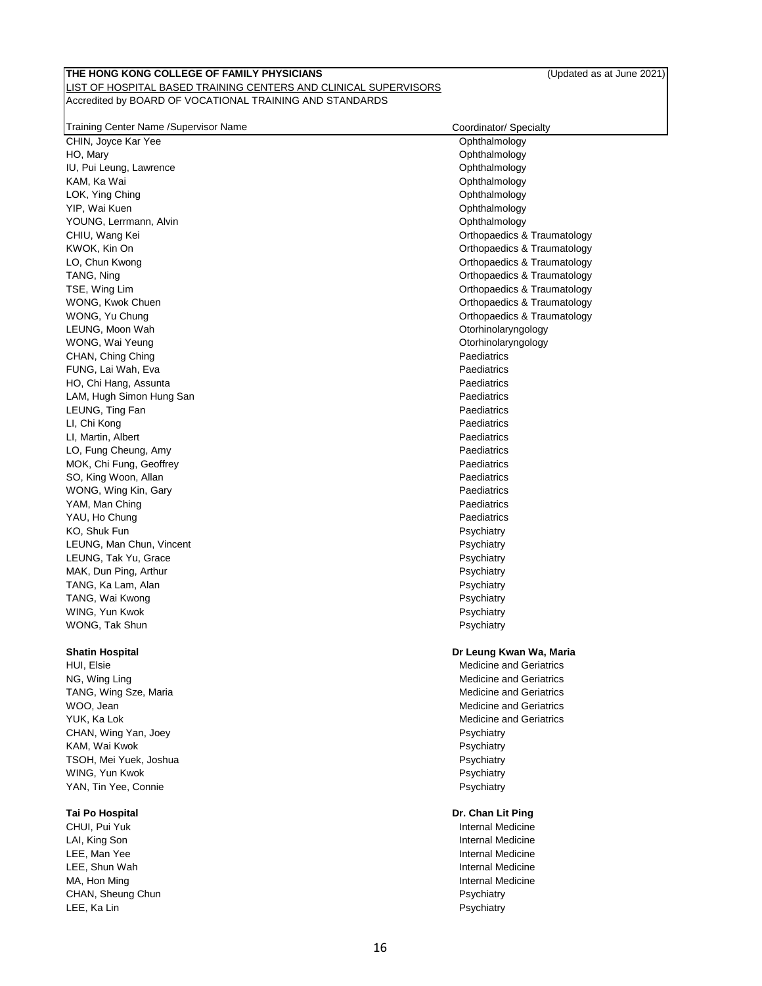| Training Center Name /Supervisor Name |  |  |  |
|---------------------------------------|--|--|--|
|                                       |  |  |  |

#### **Shatin Hospital**

HUI, Elsie Medicine and Geriatrics Medicine and Geriatrics NG, Wing Ling Medicine and Geriatrics and Geriatrics and Geriatrics and Geriatrics and Geriatrics and Geriatrics TANG, Wing Sze, Maria Medicine and Geriatrics and Geriatrics WOO, Jean Medicine and Geriatrics Control of the Medicine and Geriatrics Control of the Medicine and Geriatrics YUK, Ka Lok Medicine and Geriatrics **Medicine and Geriatrics** and Medicine and Geriatrics CHAN, Wing Yan, Joey **Property** Paychiatry Property Psychiatry Property Property Property Property Property Property Property Property Property Property Property Property Property Property Property Property Property Proper KAM, Wai Kwok **Provident Contract Contract Contract Contract Contract Contract Contract Contract Contract Contract Contract Contract Contract Contract Contract Contract Contract Contract Contract Contract Contract Contract** TSOH, Mei Yuek, Joshua Psychiatry WING, Yun Kwok **Provident Controller and Controller Controller and Controller Controller Provident Psychiatry** YAN, Tin Yee, Connie **Provident Connective Connective Connective Connection** Psychiatry

CHUI, Pui Yuk Internal Medicine LAI, King Son **Internal Medicine** LEE, Man Yee **Internal Medicine** LEE, Shun Wah **Internal Medicine** MA, Hon Ming **Internal Medicine** CHAN, Sheung Chun **Psychiatry** Psychiatry **Psychiatry** Psychiatry **Psychiatry** Psychiatry LEE, Ka Lin Psychiatry and the state of the state of the state of the state of the state of the state of the state of the state of the state of the state of the state of the state of the state of the state of the state of

| Shatin Hosnital          | Dr Leung Kwan Wa, Maria     |
|--------------------------|-----------------------------|
| WONG, Tak Shun           | Psychiatry                  |
| WING, Yun Kwok           | Psychiatry                  |
| TANG, Wai Kwong          | Psychiatry                  |
| TANG, Ka Lam, Alan       | Psychiatry                  |
| MAK, Dun Ping, Arthur    | Psychiatry                  |
| LEUNG, Tak Yu, Grace     | Psychiatry                  |
| LEUNG, Man Chun, Vincent | Psychiatry                  |
| KO, Shuk Fun             | Psychiatry                  |
| YAU, Ho Chung            | Paediatrics                 |
| YAM, Man Ching           | Paediatrics                 |
| WONG, Wing Kin, Gary     | Paediatrics                 |
| SO, King Woon, Allan     | Paediatrics                 |
| MOK, Chi Fung, Geoffrey  | Paediatrics                 |
| LO, Fung Cheung, Amy     | Paediatrics                 |
| LI, Martin, Albert       | Paediatrics                 |
| LI, Chi Kong             | Paediatrics                 |
| LEUNG, Ting Fan          | Paediatrics                 |
| LAM, Hugh Simon Hung San | Paediatrics                 |
| HO, Chi Hang, Assunta    | Paediatrics                 |
| FUNG, Lai Wah, Eva       | Paediatrics                 |
| CHAN, Ching Ching        | Paediatrics                 |
| WONG, Wai Yeung          | Otorhinolaryngology         |
| LEUNG, Moon Wah          | Otorhinolaryngology         |
| WONG, Yu Chung           | Orthopaedics & Traumatology |
| WONG, Kwok Chuen         | Orthopaedics & Traumatology |
| TSE, Wing Lim            | Orthopaedics & Traumatology |
| TANG, Ning               | Orthopaedics & Traumatology |
| LO, Chun Kwong           | Orthopaedics & Traumatology |
| KWOK, Kin On             | Orthopaedics & Traumatology |
| CHIU, Wang Kei           | Orthopaedics & Traumatology |
| YOUNG, Lerrmann, Alvin   | Ophthalmology               |
| YIP, Wai Kuen            | Ophthalmology               |
| LOK, Ying Ching          | Ophthalmology               |
| KAM, Ka Wai              | Ophthalmology               |
| IU, Pui Leung, Lawrence  | Ophthalmology               |
| HO, Mary                 | Ophthalmology               |
| CHIN, Joyce Kar Yee      | Ophthalmology               |

Coordinator/ Specialty

### **Tai Po Hospital Dr. Chan Lit Ping**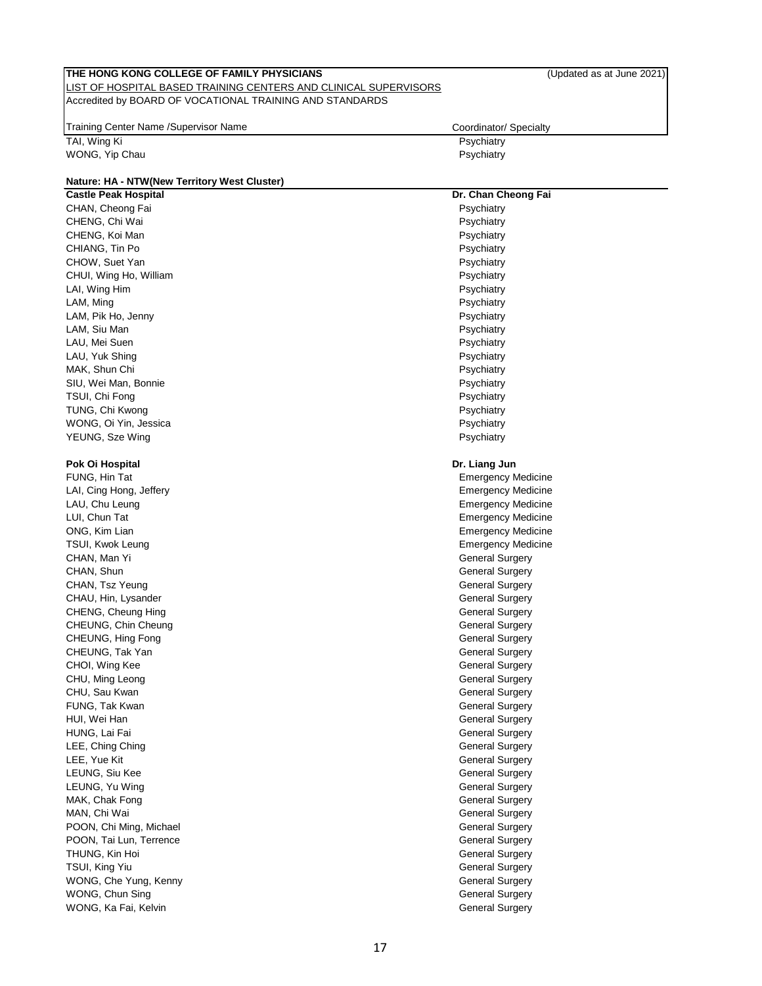| THE HONG KONG COLLEGE OF FAMILY PHYSICIANS                       | (Updated as at June 2021)            |
|------------------------------------------------------------------|--------------------------------------|
| LIST OF HOSPITAL BASED TRAINING CENTERS AND CLINICAL SUPERVISORS |                                      |
| Accredited by BOARD OF VOCATIONAL TRAINING AND STANDARDS         |                                      |
| Training Center Name / Supervisor Name                           |                                      |
|                                                                  | Coordinator/ Specialty<br>Psychiatry |
| TAI, Wing Ki<br>WONG, Yip Chau                                   | Psychiatry                           |
|                                                                  |                                      |
| Nature: HA - NTW(New Territory West Cluster)                     |                                      |
| <b>Castle Peak Hospital</b>                                      | Dr. Chan Cheong Fai                  |
| CHAN, Cheong Fai                                                 | Psychiatry                           |
| CHENG, Chi Wai                                                   | Psychiatry                           |
| CHENG, Koi Man                                                   | Psychiatry                           |
| CHIANG, Tin Po                                                   | Psychiatry                           |
| CHOW, Suet Yan                                                   | Psychiatry                           |
| CHUI, Wing Ho, William                                           | Psychiatry                           |
| LAI, Wing Him                                                    | Psychiatry                           |
| LAM, Ming                                                        | Psychiatry                           |
| LAM, Pik Ho, Jenny                                               | Psychiatry                           |
| LAM, Siu Man                                                     | Psychiatry                           |
| LAU, Mei Suen                                                    | Psychiatry                           |
| LAU, Yuk Shing                                                   | Psychiatry                           |
| MAK, Shun Chi                                                    | Psychiatry                           |
| SIU, Wei Man, Bonnie                                             | Psychiatry                           |
| TSUI, Chi Fong                                                   | Psychiatry                           |
| TUNG, Chi Kwong                                                  | Psychiatry                           |
| WONG, Oi Yin, Jessica                                            | Psychiatry                           |
| YEUNG, Sze Wing                                                  | Psychiatry                           |
| Pok Oi Hospital                                                  | Dr. Liang Jun                        |
| FUNG, Hin Tat                                                    | <b>Emergency Medicine</b>            |
| LAI, Cing Hong, Jeffery                                          | <b>Emergency Medicine</b>            |
| LAU, Chu Leung                                                   | <b>Emergency Medicine</b>            |
| LUI, Chun Tat                                                    | Emergency Medicine                   |
| ONG, Kim Lian                                                    | Emergency Medicine                   |
| TSUI, Kwok Leung                                                 | <b>Emergency Medicine</b>            |
| CHAN, Man Yi                                                     | General Surgery                      |
| CHAN, Shun                                                       | <b>General Surgery</b>               |
| CHAN, Tsz Yeung                                                  | <b>General Surgery</b>               |
| CHAU, Hin, Lysander                                              | General Surgery                      |
| CHENG, Cheung Hing                                               | General Surgery                      |
| CHEUNG, Chin Cheung                                              | <b>General Surgery</b>               |
| CHEUNG, Hing Fong                                                | <b>General Surgery</b>               |
| CHEUNG, Tak Yan                                                  | <b>General Surgery</b>               |
| CHOI, Wing Kee                                                   | <b>General Surgery</b>               |
| CHU, Ming Leong                                                  | <b>General Surgery</b>               |
| CHU, Sau Kwan                                                    | <b>General Surgery</b>               |
| FUNG, Tak Kwan                                                   | <b>General Surgery</b>               |
| HUI, Wei Han                                                     | <b>General Surgery</b>               |
| HUNG, Lai Fai                                                    | <b>General Surgery</b>               |
| LEE, Ching Ching                                                 | <b>General Surgery</b>               |
| LEE, Yue Kit                                                     | <b>General Surgery</b>               |
| LEUNG, Siu Kee                                                   | <b>General Surgery</b>               |
| LEUNG, Yu Wing                                                   | <b>General Surgery</b>               |
| MAK, Chak Fong                                                   | <b>General Surgery</b>               |
| MAN, Chi Wai                                                     | <b>General Surgery</b>               |
| POON, Chi Ming, Michael                                          | <b>General Surgery</b>               |
| POON, Tai Lun, Terrence                                          | <b>General Surgery</b>               |
| THUNG, Kin Hoi                                                   | <b>General Surgery</b>               |
| TSUI, King Yiu                                                   | <b>General Surgery</b>               |
| WONG, Che Yung, Kenny                                            | <b>General Surgery</b>               |
| WONG, Chun Sing                                                  | <b>General Surgery</b>               |
| WONG, Ka Fai, Kelvin                                             | <b>General Surgery</b>               |
|                                                                  |                                      |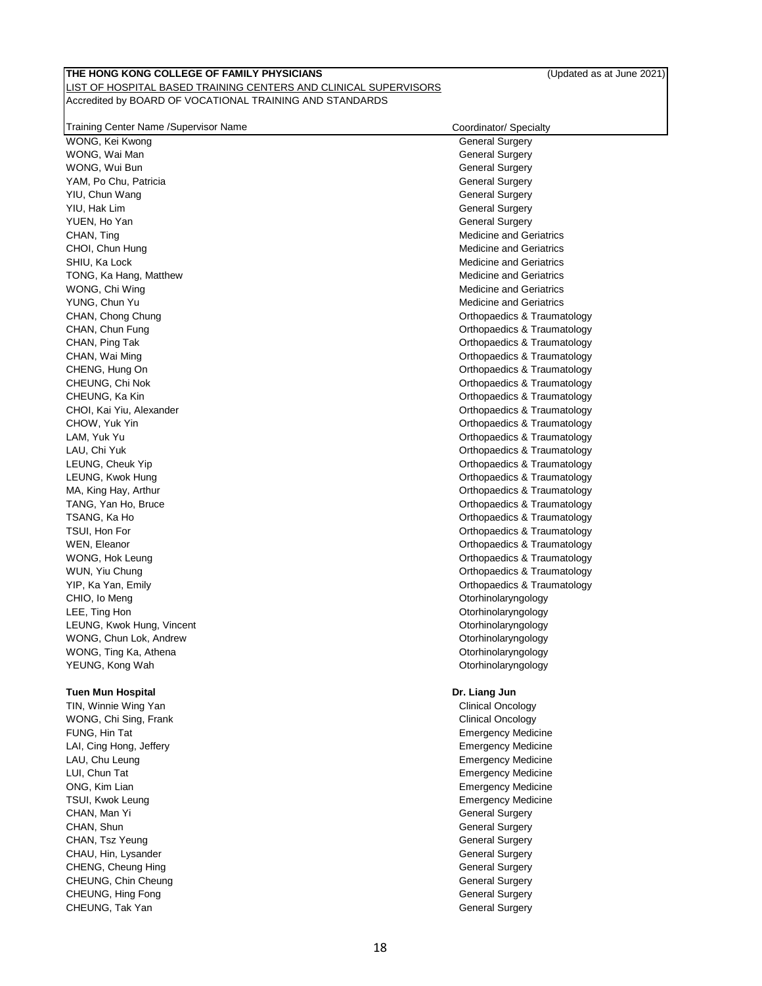| Fraining Center Name /Supervisor Name | Coordinator/ Specialty |
|---------------------------------------|------------------------|

| WONG, Kei Kwong                          | <b>General Surgery</b>                                 |
|------------------------------------------|--------------------------------------------------------|
| WONG, Wai Man                            | <b>General Surgery</b>                                 |
| WONG, Wui Bun                            | <b>General Surgery</b>                                 |
| YAM, Po Chu, Patricia                    | <b>General Surgery</b>                                 |
| YIU, Chun Wang                           | <b>General Surgery</b>                                 |
| YIU, Hak Lim                             | <b>General Surgery</b>                                 |
| YUEN, Ho Yan                             | <b>General Surgery</b>                                 |
| CHAN, Ting                               | <b>Medicine and Geriatrics</b>                         |
| CHOI, Chun Hung                          | <b>Medicine and Geriatrics</b>                         |
| SHIU, Ka Lock                            | <b>Medicine and Geriatrics</b>                         |
| TONG, Ka Hang, Matthew                   | <b>Medicine and Geriatrics</b>                         |
| WONG, Chi Wing                           | <b>Medicine and Geriatrics</b>                         |
| YUNG, Chun Yu                            | <b>Medicine and Geriatrics</b>                         |
| CHAN, Chong Chung                        | Orthopaedics & Traumatology                            |
| CHAN, Chun Fung                          | Orthopaedics & Traumatology                            |
| CHAN, Ping Tak                           | Orthopaedics & Traumatology                            |
| CHAN, Wai Ming                           | Orthopaedics & Traumatology                            |
| CHENG, Hung On                           | Orthopaedics & Traumatology                            |
| CHEUNG, Chi Nok                          | Orthopaedics & Traumatology                            |
| CHEUNG, Ka Kin                           | <b>Orthopaedics &amp; Traumatology</b>                 |
| CHOI, Kai Yiu, Alexander                 | Orthopaedics & Traumatology                            |
| CHOW, Yuk Yin                            | Orthopaedics & Traumatology                            |
| LAM, Yuk Yu                              | Orthopaedics & Traumatology                            |
| LAU, Chi Yuk                             | Orthopaedics & Traumatology                            |
| LEUNG, Cheuk Yip                         | Orthopaedics & Traumatology                            |
| LEUNG, Kwok Hung                         | Orthopaedics & Traumatology                            |
| MA, King Hay, Arthur                     | Orthopaedics & Traumatology                            |
| TANG, Yan Ho, Bruce                      | Orthopaedics & Traumatology                            |
| TSANG, Ka Ho                             | Orthopaedics & Traumatology                            |
| TSUI, Hon For                            | <b>Orthopaedics &amp; Traumatology</b>                 |
| WEN, Eleanor                             | Orthopaedics & Traumatology                            |
| WONG, Hok Leung                          | Orthopaedics & Traumatology                            |
| WUN, Yiu Chung                           | Orthopaedics & Traumatology                            |
| YIP, Ka Yan, Emily                       | Orthopaedics & Traumatology                            |
| CHIO, Io Meng                            | Otorhinolaryngology                                    |
| LEE, Ting Hon                            | Otorhinolaryngology                                    |
|                                          |                                                        |
| LEUNG, Kwok Hung, Vincent                | Otorhinolaryngology                                    |
| WONG, Chun Lok, Andrew                   | Otorhinolaryngology                                    |
| WONG, Ting Ka, Athena<br>YEUNG, Kong Wah | Otorhinolaryngology<br>Otorhinolaryngology             |
|                                          |                                                        |
| <b>Tuen Mun Hospital</b>                 | Dr. Liang Jun                                          |
| TIN, Winnie Wing Yan                     | <b>Clinical Oncology</b>                               |
| WONG, Chi Sing, Frank                    | <b>Clinical Oncology</b>                               |
|                                          |                                                        |
| FUNG, Hin Tat<br>LAI, Cing Hong, Jeffery | <b>Emergency Medicine</b><br><b>Emergency Medicine</b> |
|                                          |                                                        |
| LAU, Chu Leung                           | <b>Emergency Medicine</b>                              |
| LUI, Chun Tat                            | <b>Emergency Medicine</b>                              |
| ONG, Kim Lian                            | <b>Emergency Medicine</b>                              |
| TSUI, Kwok Leung                         | <b>Emergency Medicine</b>                              |
| CHAN, Man Yi                             | <b>General Surgery</b>                                 |
| CHAN, Shun                               | <b>General Surgery</b>                                 |
| CHAN, Tsz Yeung                          | <b>General Surgery</b>                                 |
| CHAU, Hin, Lysander                      | <b>General Surgery</b>                                 |
| CHENG, Cheung Hing                       | <b>General Surgery</b>                                 |
| CHEUNG, Chin Cheung                      | <b>General Surgery</b>                                 |
| CHEUNG, Hing Fong                        | <b>General Surgery</b>                                 |
| CHEUNG, Tak Yan                          | <b>General Surgery</b>                                 |
|                                          |                                                        |
|                                          |                                                        |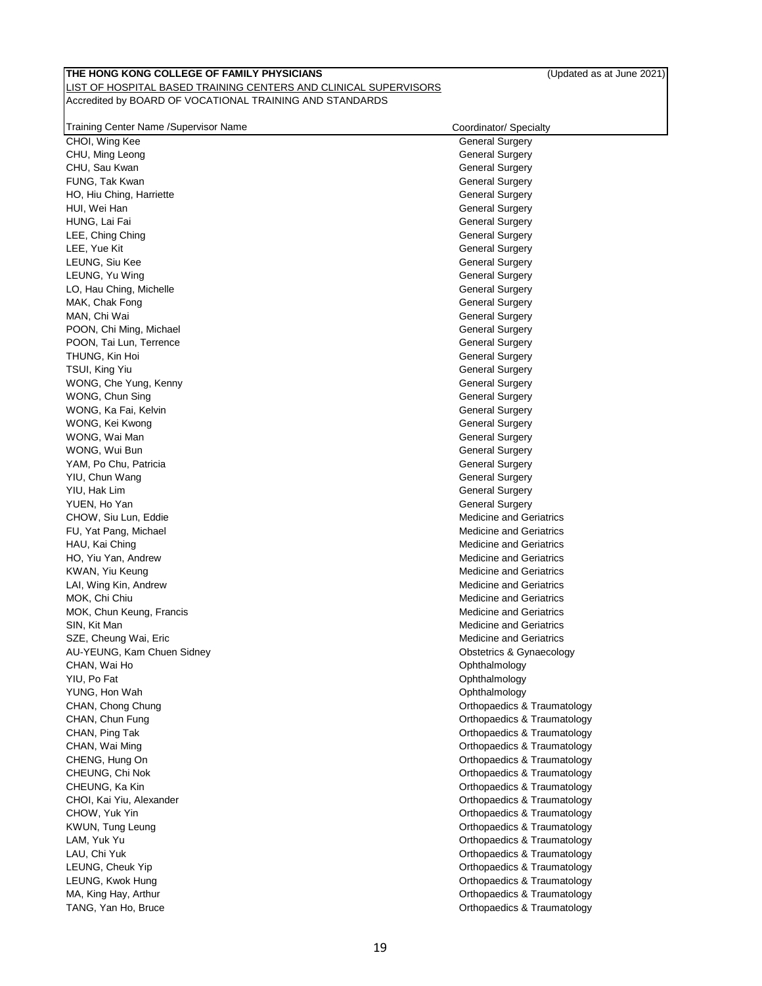| Training Center Name / Supervisor Name | Coordinator/ Specialty         |
|----------------------------------------|--------------------------------|
| CHOI, Wing Kee                         | <b>General Surgery</b>         |
| CHU, Ming Leong                        | <b>General Surgery</b>         |
| CHU, Sau Kwan                          | <b>General Surgery</b>         |
| FUNG, Tak Kwan                         | <b>General Surgery</b>         |
| HO, Hiu Ching, Harriette               | <b>General Surgery</b>         |
| HUI, Wei Han                           | <b>General Surgery</b>         |
| HUNG, Lai Fai                          | <b>General Surgery</b>         |
| LEE, Ching Ching                       | <b>General Surgery</b>         |
| LEE, Yue Kit                           | <b>General Surgery</b>         |
| LEUNG, Siu Kee                         | <b>General Surgery</b>         |
| LEUNG, Yu Wing                         | <b>General Surgery</b>         |
| LO, Hau Ching, Michelle                | <b>General Surgery</b>         |
| MAK, Chak Fong                         | <b>General Surgery</b>         |
| MAN, Chi Wai                           | <b>General Surgery</b>         |
| POON, Chi Ming, Michael                | <b>General Surgery</b>         |
| POON, Tai Lun, Terrence                | <b>General Surgery</b>         |
| THUNG, Kin Hoi                         | <b>General Surgery</b>         |
| TSUI, King Yiu                         | <b>General Surgery</b>         |
| WONG, Che Yung, Kenny                  | <b>General Surgery</b>         |
| WONG, Chun Sing                        | <b>General Surgery</b>         |
| WONG, Ka Fai, Kelvin                   | <b>General Surgery</b>         |
| WONG, Kei Kwong                        | <b>General Surgery</b>         |
| WONG, Wai Man                          | <b>General Surgery</b>         |
| WONG, Wui Bun                          | <b>General Surgery</b>         |
| YAM, Po Chu, Patricia                  | <b>General Surgery</b>         |
| YIU, Chun Wang                         | <b>General Surgery</b>         |
| YIU, Hak Lim                           | <b>General Surgery</b>         |
| YUEN, Ho Yan                           | <b>General Surgery</b>         |
| CHOW, Siu Lun, Eddie                   | <b>Medicine and Geriatrics</b> |
| FU, Yat Pang, Michael                  | <b>Medicine and Geriatrics</b> |
| HAU, Kai Ching                         | <b>Medicine and Geriatrics</b> |
| HO, Yiu Yan, Andrew                    | <b>Medicine and Geriatrics</b> |
| KWAN, Yiu Keung                        | <b>Medicine and Geriatrics</b> |
| LAI, Wing Kin, Andrew                  | <b>Medicine and Geriatrics</b> |
| MOK, Chi Chiu                          | <b>Medicine and Geriatrics</b> |
| MOK, Chun Keung, Francis               | <b>Medicine and Geriatrics</b> |
| SIN, Kit Man                           | <b>Medicine and Geriatrics</b> |
| SZE, Cheung Wai, Eric                  | <b>Medicine and Geriatrics</b> |
| AU-YEUNG, Kam Chuen Sidney             | Obstetrics & Gynaecology       |
| CHAN, Wai Ho                           | Ophthalmology                  |
| YIU, Po Fat                            | Ophthalmology                  |
| YUNG, Hon Wah                          | Ophthalmology                  |
| CHAN, Chong Chung                      | Orthopaedics & Traumatology    |
| CHAN, Chun Fung                        | Orthopaedics & Traumatology    |
| CHAN, Ping Tak                         | Orthopaedics & Traumatology    |
| CHAN, Wai Ming                         | Orthopaedics & Traumatology    |
| CHENG, Hung On                         | Orthopaedics & Traumatology    |
| CHEUNG, Chi Nok                        | Orthopaedics & Traumatology    |
| CHEUNG, Ka Kin                         | Orthopaedics & Traumatology    |
| CHOI, Kai Yiu, Alexander               | Orthopaedics & Traumatology    |
| CHOW, Yuk Yin                          | Orthopaedics & Traumatology    |
| KWUN, Tung Leung                       | Orthopaedics & Traumatology    |
| LAM, Yuk Yu                            | Orthopaedics & Traumatology    |
| LAU, Chi Yuk                           | Orthopaedics & Traumatology    |
| LEUNG, Cheuk Yip                       | Orthopaedics & Traumatology    |
| LEUNG, Kwok Hung                       | Orthopaedics & Traumatology    |
| MA, King Hay, Arthur                   | Orthopaedics & Traumatology    |
| TANG, Yan Ho, Bruce                    | Orthopaedics & Traumatology    |
|                                        |                                |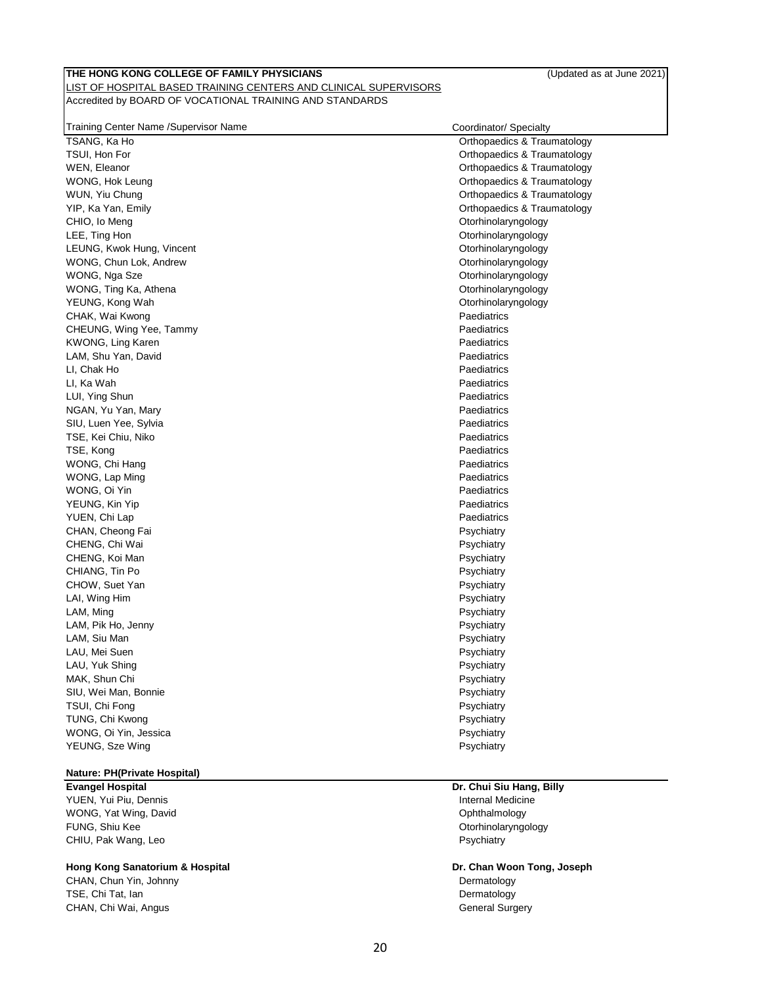| Training Center Name /Supervisor Name |  |
|---------------------------------------|--|
| TSANG, Ka Ho                          |  |

Coordinator/ Specialty

| TSANG, Ka Ho              | Orthopaedics & Traumatology |
|---------------------------|-----------------------------|
| TSUI, Hon For             | Orthopaedics & Traumatology |
| WEN, Eleanor              | Orthopaedics & Traumatology |
| WONG, Hok Leung           | Orthopaedics & Traumatology |
| WUN, Yiu Chung            | Orthopaedics & Traumatology |
| YIP, Ka Yan, Emily        | Orthopaedics & Traumatology |
| CHIO, Io Meng             | Otorhinolaryngology         |
| LEE, Ting Hon             | Otorhinolaryngology         |
| LEUNG, Kwok Hung, Vincent | Otorhinolaryngology         |
| WONG, Chun Lok, Andrew    | Otorhinolaryngology         |
| WONG, Nga Sze             | Otorhinolaryngology         |
| WONG, Ting Ka, Athena     | Otorhinolaryngology         |
| YEUNG, Kong Wah           | Otorhinolaryngology         |
| CHAK, Wai Kwong           | Paediatrics                 |
| CHEUNG, Wing Yee, Tammy   | Paediatrics                 |
| KWONG, Ling Karen         | Paediatrics                 |
| LAM, Shu Yan, David       | Paediatrics                 |
| LI, Chak Ho               | Paediatrics                 |
| LI, Ka Wah                | Paediatrics                 |
| LUI, Ying Shun            | Paediatrics                 |
| NGAN, Yu Yan, Mary        | Paediatrics                 |
| SIU, Luen Yee, Sylvia     | Paediatrics                 |
| TSE, Kei Chiu, Niko       | Paediatrics                 |
| TSE, Kong                 | Paediatrics                 |
| WONG, Chi Hang            | Paediatrics                 |
| WONG, Lap Ming            | Paediatrics                 |
| WONG, Oi Yin              | Paediatrics                 |
| YEUNG, Kin Yip            | Paediatrics                 |
| YUEN, Chi Lap             | Paediatrics                 |
| CHAN, Cheong Fai          | Psychiatry                  |
| CHENG, Chi Wai            | Psychiatry                  |
| CHENG, Koi Man            | Psychiatry                  |
| CHIANG, Tin Po            | Psychiatry                  |
| CHOW, Suet Yan            | Psychiatry                  |
| LAI, Wing Him             | Psychiatry                  |
| LAM, Ming                 | Psychiatry                  |
| LAM, Pik Ho, Jenny        | Psychiatry                  |
| LAM, Siu Man              | Psychiatry                  |
| LAU, Mei Suen             | Psychiatry                  |
| LAU, Yuk Shing            | Psychiatry                  |
| MAK, Shun Chi             | Psychiatry                  |
| SIU, Wei Man, Bonnie      | Psychiatry                  |
| TSUI, Chi Fong            | Psychiatry                  |
| TUNG, Chi Kwong           | Psychiatry                  |
| WONG, Oi Yin, Jessica     | Psychiatry                  |
| YEUNG, Sze Wing           | Psychiatry                  |
|                           |                             |
|                           |                             |

# **Nature: PH(Private Hospital)**

YUEN, Yui Piu, Dennis **Internal Medicine** WONG, Yat Wing, David **Ophthalmology CONGLET CONGLETE** FUNG, Shiu Kee **Otorhinolaryngology Communication Communication Communication Communication Communication Communication Communication Communication Communication Communication Communication Communic** CHIU, Pak Wang, Leo Psychiatry and Psychiatry and Psychiatry Psychiatry and Psychiatry Psychiatry and Psychiatry

#### **Hong Kong Sanatorium & Hospital Dr. Chan Woon Tong, Joseph**

CHAN, Chun Yin, Johnny Dermatology TSE, Chi Tat, Ian Dermatology CHAN, Chi Wai, Angus **General Surgery** 

# **Evangel Hospital Dr. Chui Siu Hang, Billy**